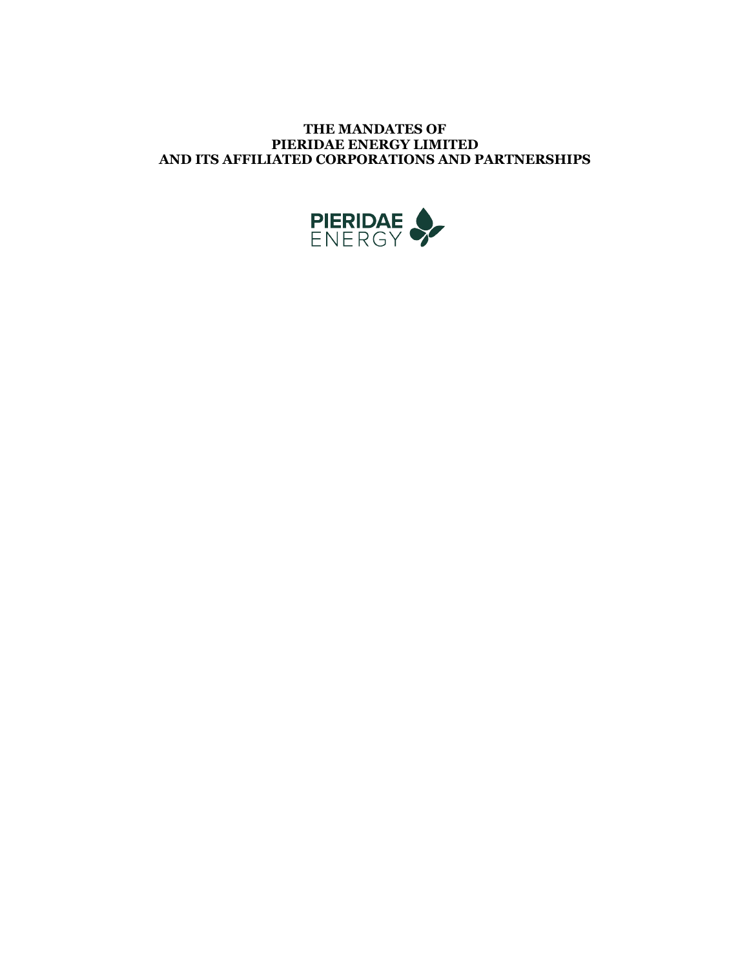# **THE MANDATES OF PIERIDAE ENERGY LIMITED AND ITS AFFILIATED CORPORATIONS AND PARTNERSHIPS**

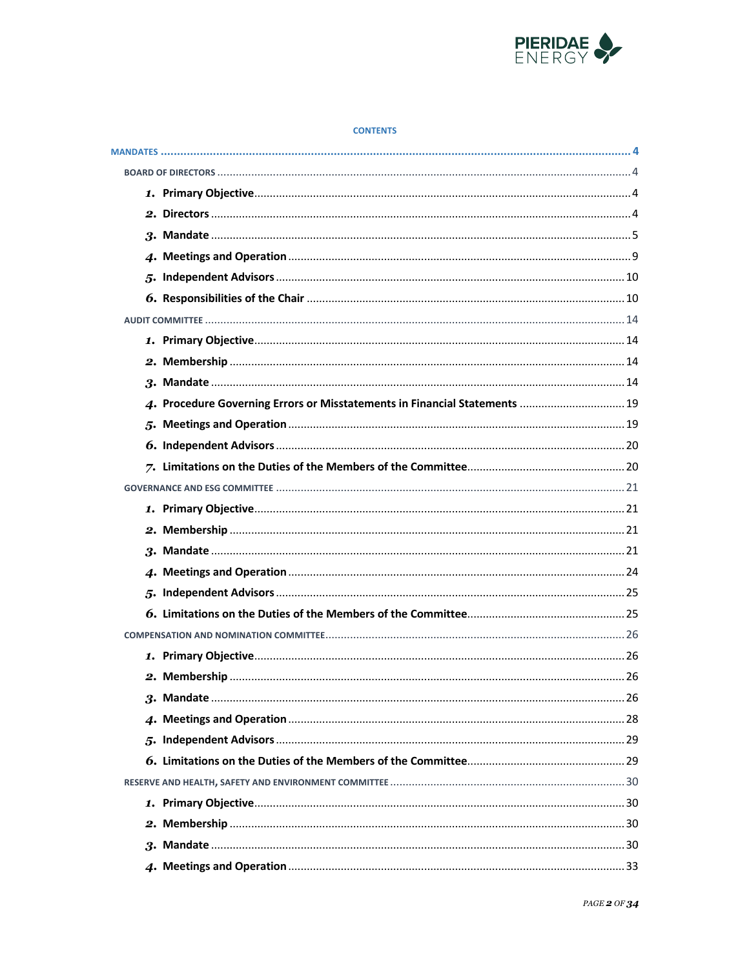

#### **CONTENTS**

| 4. Procedure Governing Errors or Misstatements in Financial Statements  19 |
|----------------------------------------------------------------------------|
|                                                                            |
|                                                                            |
|                                                                            |
|                                                                            |
|                                                                            |
|                                                                            |
|                                                                            |
|                                                                            |
|                                                                            |
|                                                                            |
|                                                                            |
|                                                                            |
|                                                                            |
|                                                                            |
|                                                                            |
|                                                                            |
|                                                                            |
|                                                                            |
|                                                                            |
|                                                                            |
|                                                                            |
|                                                                            |
|                                                                            |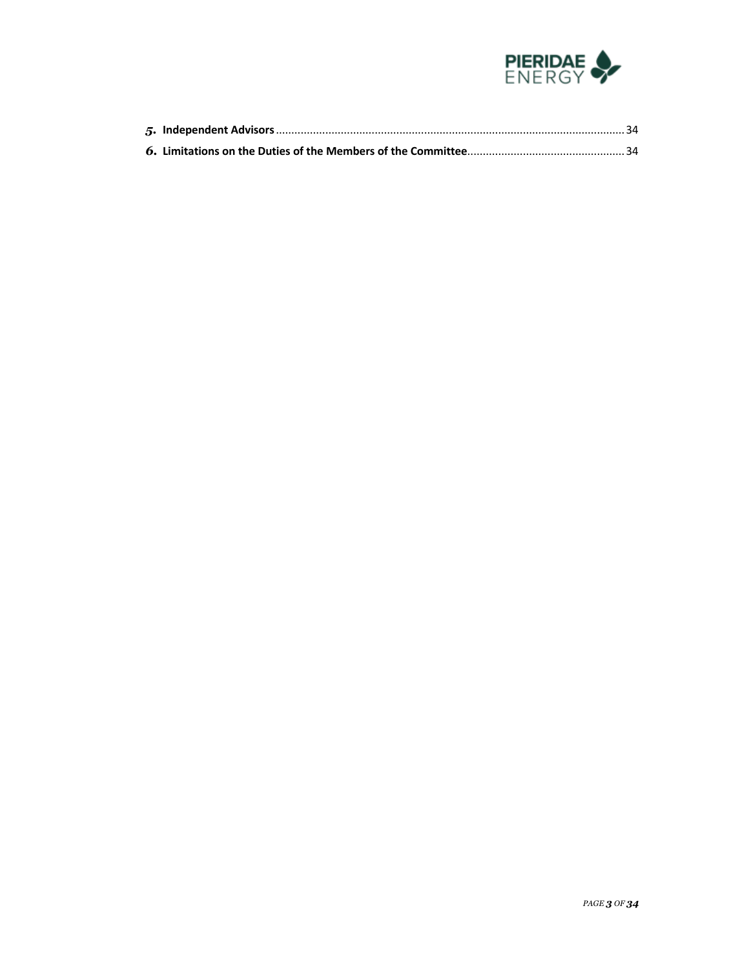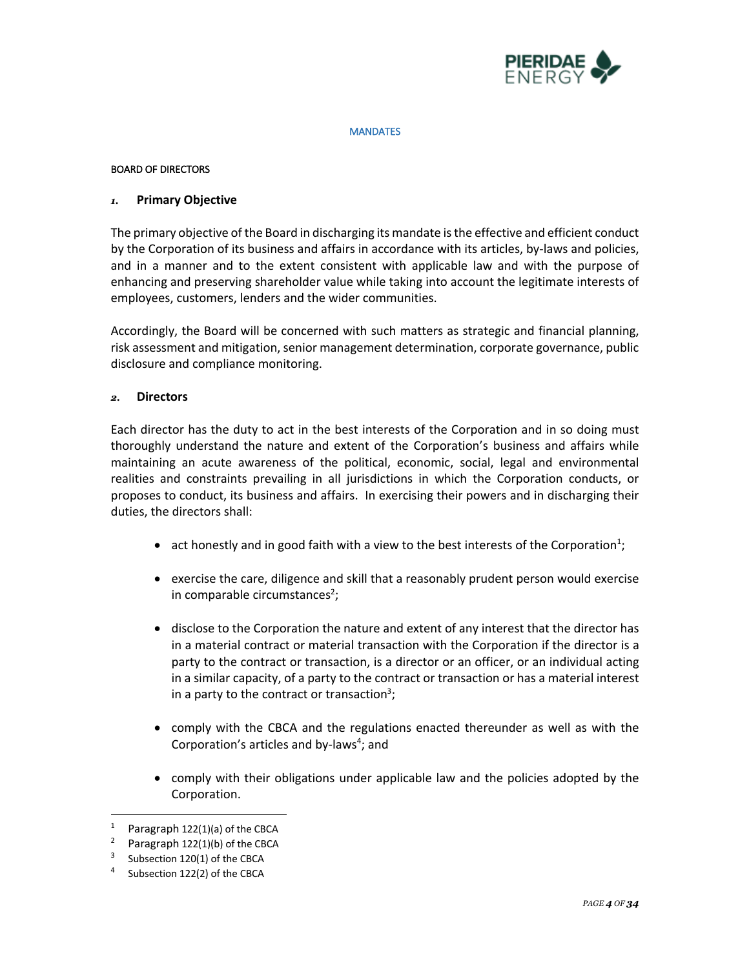

#### **MANDATES**

#### BOARD OF DIRECTORS

#### *1.* **Primary Objective**

The primary objective of the Board in discharging its mandate is the effective and efficient conduct by the Corporation of its business and affairs in accordance with its articles, by-laws and policies, and in a manner and to the extent consistent with applicable law and with the purpose of enhancing and preserving shareholder value while taking into account the legitimate interests of employees, customers, lenders and the wider communities.

Accordingly, the Board will be concerned with such matters as strategic and financial planning, risk assessment and mitigation, senior management determination, corporate governance, public disclosure and compliance monitoring.

# *2.* **Directors**

Each director has the duty to act in the best interests of the Corporation and in so doing must thoroughly understand the nature and extent of the Corporation's business and affairs while maintaining an acute awareness of the political, economic, social, legal and environmental realities and constraints prevailing in all jurisdictions in which the Corporation conducts, or proposes to conduct, its business and affairs. In exercising their powers and in discharging their duties, the directors shall:

- act honestly and in good faith with a view to the best interests of the Corporation<sup>1</sup>;
- exercise the care, diligence and skill that a reasonably prudent person would exercise in comparable circumstances<sup>2</sup>;
- disclose to the Corporation the nature and extent of any interest that the director has in a material contract or material transaction with the Corporation if the director is a party to the contract or transaction, is a director or an officer, or an individual acting in a similar capacity, of a party to the contract or transaction or has a material interest in a party to the contract or transaction<sup>3</sup>;
- comply with the CBCA and the regulations enacted thereunder as well as with the Corporation's articles and by-laws<sup>4</sup>; and
- comply with their obligations under applicable law and the policies adopted by the Corporation.

Paragraph 122(1)(a) of the CBCA

<sup>&</sup>lt;sup>2</sup> Paragraph  $122(1)(b)$  of the CBCA

Subsection 120(1) of the CBCA

Subsection 122(2) of the CBCA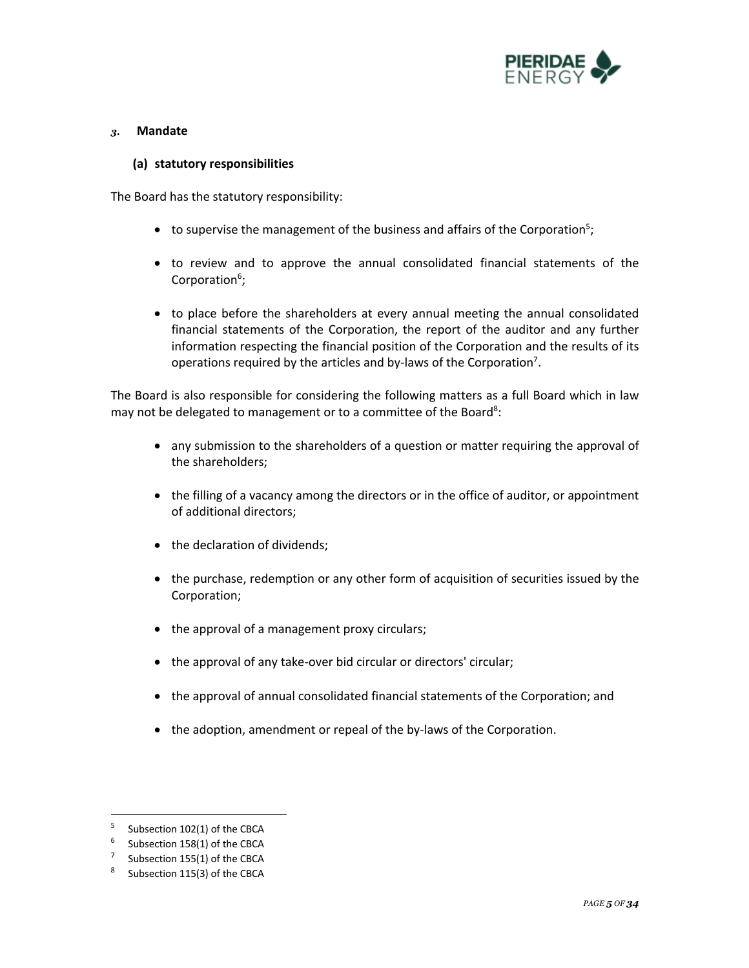

### *3.* **Mandate**

#### **(a) statutory responsibilities**

The Board has the statutory responsibility:

- $\bullet$  to supervise the management of the business and affairs of the Corporation<sup>5</sup>;
- to review and to approve the annual consolidated financial statements of the Corporation<sup>6</sup>;
- to place before the shareholders at every annual meeting the annual consolidated financial statements of the Corporation, the report of the auditor and any further information respecting the financial position of the Corporation and the results of its operations required by the articles and by-laws of the Corporation<sup>7</sup>.

The Board is also responsible for considering the following matters as a full Board which in law may not be delegated to management or to a committee of the Board<sup>8</sup>:

- any submission to the shareholders of a question or matter requiring the approval of the shareholders;
- the filling of a vacancy among the directors or in the office of auditor, or appointment of additional directors;
- the declaration of dividends;
- the purchase, redemption or any other form of acquisition of securities issued by the Corporation;
- the approval of a management proxy circulars;
- the approval of any take-over bid circular or directors' circular;
- the approval of annual consolidated financial statements of the Corporation; and
- the adoption, amendment or repeal of the by-laws of the Corporation.

 $5$  Subsection 102(1) of the CBCA

 $6$  Subsection 158(1) of the CBCA

<sup>&</sup>lt;sup>7</sup> Subsection 155(1) of the CBCA

Subsection 115(3) of the CBCA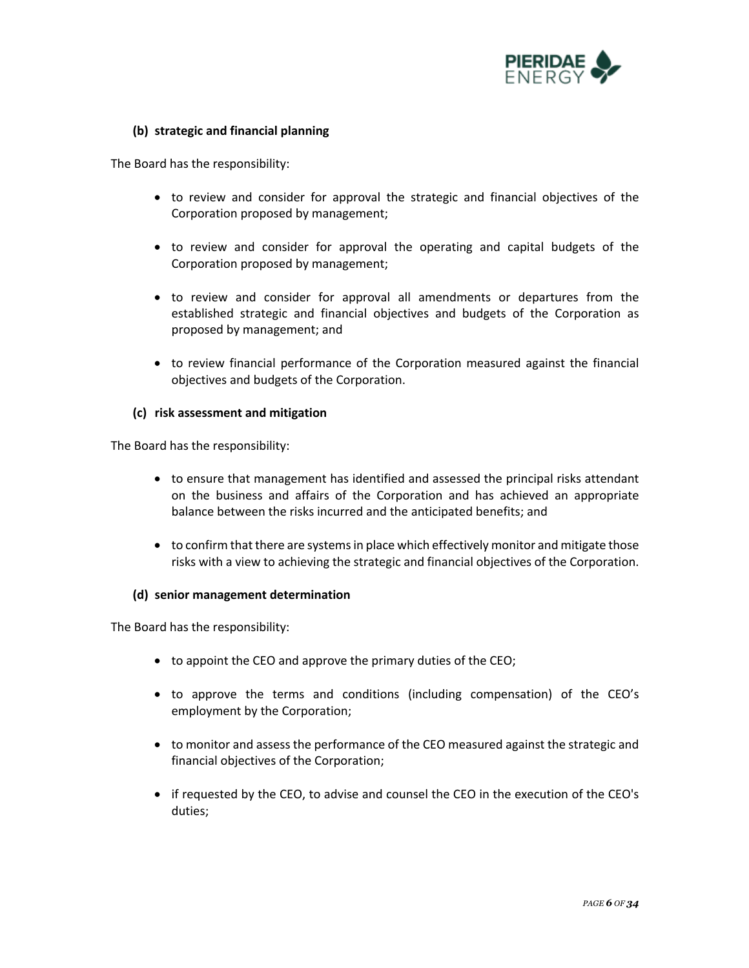

# **(b) strategic and financial planning**

The Board has the responsibility:

- to review and consider for approval the strategic and financial objectives of the Corporation proposed by management;
- to review and consider for approval the operating and capital budgets of the Corporation proposed by management;
- to review and consider for approval all amendments or departures from the established strategic and financial objectives and budgets of the Corporation as proposed by management; and
- to review financial performance of the Corporation measured against the financial objectives and budgets of the Corporation.

### **(c) risk assessment and mitigation**

The Board has the responsibility:

- to ensure that management has identified and assessed the principal risks attendant on the business and affairs of the Corporation and has achieved an appropriate balance between the risks incurred and the anticipated benefits; and
- to confirm that there are systems in place which effectively monitor and mitigate those risks with a view to achieving the strategic and financial objectives of the Corporation.

### **(d) senior management determination**

The Board has the responsibility:

- to appoint the CEO and approve the primary duties of the CEO;
- to approve the terms and conditions (including compensation) of the CEO's employment by the Corporation;
- to monitor and assess the performance of the CEO measured against the strategic and financial objectives of the Corporation;
- if requested by the CEO, to advise and counsel the CEO in the execution of the CEO's duties;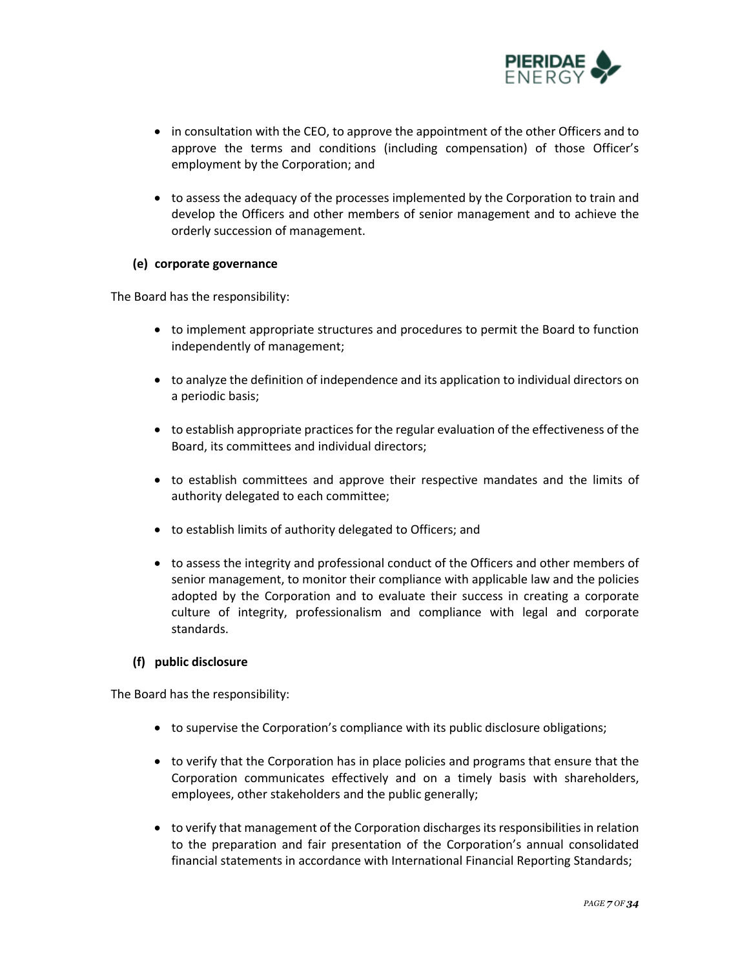

- in consultation with the CEO, to approve the appointment of the other Officers and to approve the terms and conditions (including compensation) of those Officer's employment by the Corporation; and
- to assess the adequacy of the processes implemented by the Corporation to train and develop the Officers and other members of senior management and to achieve the orderly succession of management.

### **(e) corporate governance**

The Board has the responsibility:

- to implement appropriate structures and procedures to permit the Board to function independently of management;
- to analyze the definition of independence and its application to individual directors on a periodic basis;
- to establish appropriate practices for the regular evaluation of the effectiveness of the Board, its committees and individual directors;
- to establish committees and approve their respective mandates and the limits of authority delegated to each committee;
- to establish limits of authority delegated to Officers; and
- to assess the integrity and professional conduct of the Officers and other members of senior management, to monitor their compliance with applicable law and the policies adopted by the Corporation and to evaluate their success in creating a corporate culture of integrity, professionalism and compliance with legal and corporate standards.

### **(f) public disclosure**

The Board has the responsibility:

- to supervise the Corporation's compliance with its public disclosure obligations;
- to verify that the Corporation has in place policies and programs that ensure that the Corporation communicates effectively and on a timely basis with shareholders, employees, other stakeholders and the public generally;
- to verify that management of the Corporation discharges its responsibilities in relation to the preparation and fair presentation of the Corporation's annual consolidated financial statements in accordance with International Financial Reporting Standards;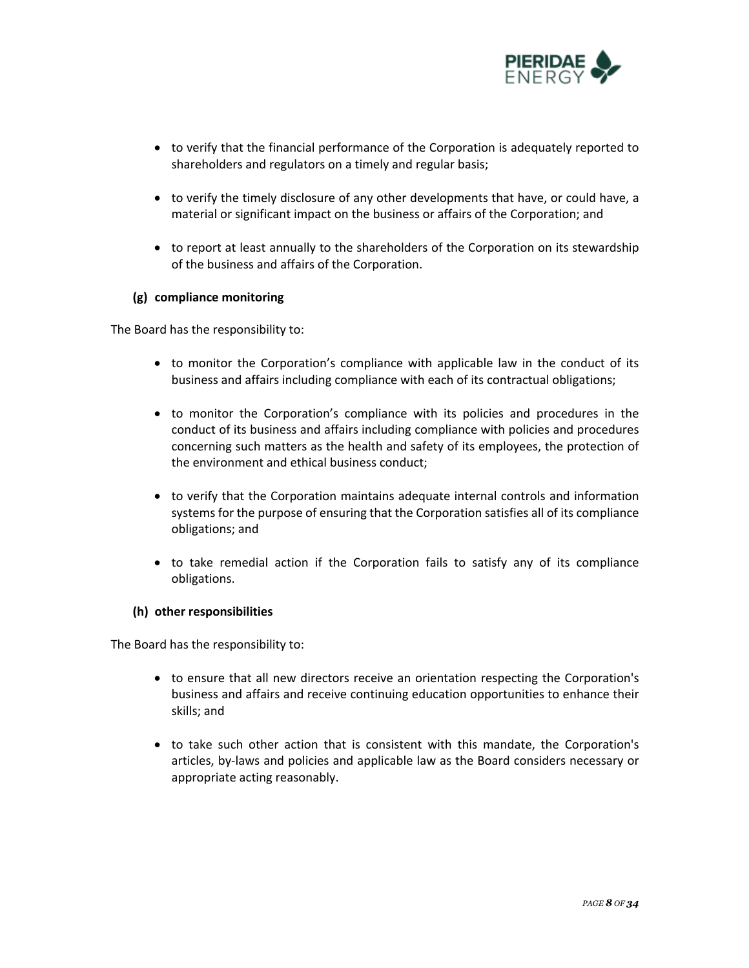

- to verify that the financial performance of the Corporation is adequately reported to shareholders and regulators on a timely and regular basis;
- to verify the timely disclosure of any other developments that have, or could have, a material or significant impact on the business or affairs of the Corporation; and
- to report at least annually to the shareholders of the Corporation on its stewardship of the business and affairs of the Corporation.

# **(g) compliance monitoring**

The Board has the responsibility to:

- to monitor the Corporation's compliance with applicable law in the conduct of its business and affairs including compliance with each of its contractual obligations;
- to monitor the Corporation's compliance with its policies and procedures in the conduct of its business and affairs including compliance with policies and procedures concerning such matters as the health and safety of its employees, the protection of the environment and ethical business conduct;
- to verify that the Corporation maintains adequate internal controls and information systems for the purpose of ensuring that the Corporation satisfies all of its compliance obligations; and
- to take remedial action if the Corporation fails to satisfy any of its compliance obligations.

### **(h) other responsibilities**

The Board has the responsibility to:

- to ensure that all new directors receive an orientation respecting the Corporation's business and affairs and receive continuing education opportunities to enhance their skills; and
- to take such other action that is consistent with this mandate, the Corporation's articles, by-laws and policies and applicable law as the Board considers necessary or appropriate acting reasonably.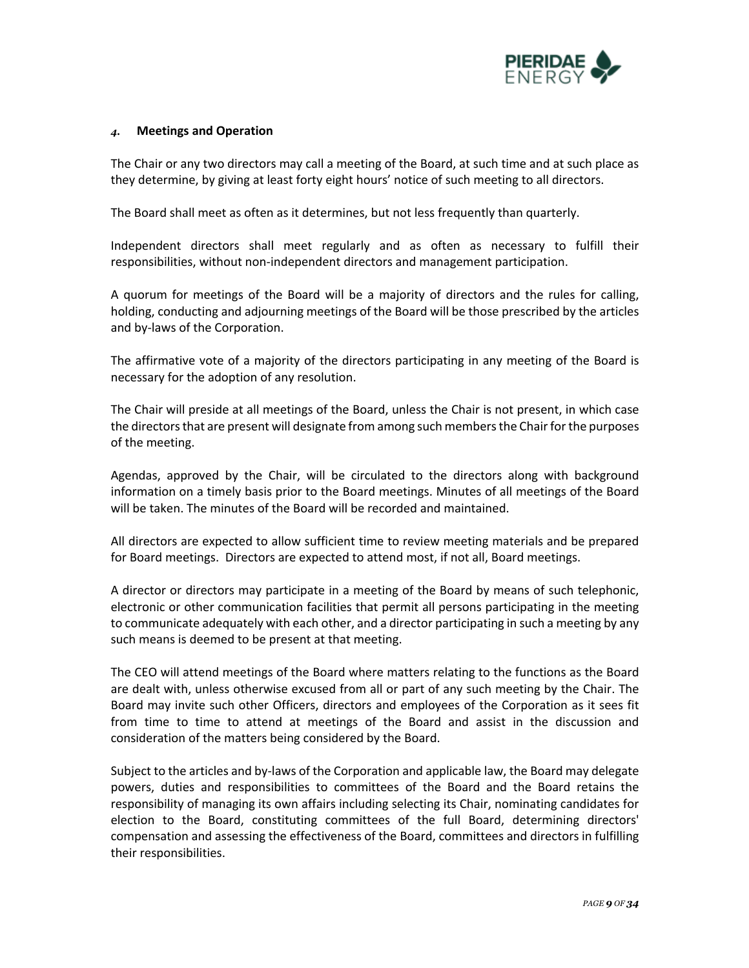

### *4.* **Meetings and Operation**

The Chair or any two directors may call a meeting of the Board, at such time and at such place as they determine, by giving at least forty eight hours' notice of such meeting to all directors.

The Board shall meet as often as it determines, but not less frequently than quarterly.

Independent directors shall meet regularly and as often as necessary to fulfill their responsibilities, without non-independent directors and management participation.

A quorum for meetings of the Board will be a majority of directors and the rules for calling, holding, conducting and adjourning meetings of the Board will be those prescribed by the articles and by-laws of the Corporation.

The affirmative vote of a majority of the directors participating in any meeting of the Board is necessary for the adoption of any resolution.

The Chair will preside at all meetings of the Board, unless the Chair is not present, in which case the directors that are present will designate from among such members the Chair for the purposes of the meeting.

Agendas, approved by the Chair, will be circulated to the directors along with background information on a timely basis prior to the Board meetings. Minutes of all meetings of the Board will be taken. The minutes of the Board will be recorded and maintained.

All directors are expected to allow sufficient time to review meeting materials and be prepared for Board meetings. Directors are expected to attend most, if not all, Board meetings.

A director or directors may participate in a meeting of the Board by means of such telephonic, electronic or other communication facilities that permit all persons participating in the meeting to communicate adequately with each other, and a director participating in such a meeting by any such means is deemed to be present at that meeting.

The CEO will attend meetings of the Board where matters relating to the functions as the Board are dealt with, unless otherwise excused from all or part of any such meeting by the Chair. The Board may invite such other Officers, directors and employees of the Corporation as it sees fit from time to time to attend at meetings of the Board and assist in the discussion and consideration of the matters being considered by the Board.

Subject to the articles and by-laws of the Corporation and applicable law, the Board may delegate powers, duties and responsibilities to committees of the Board and the Board retains the responsibility of managing its own affairs including selecting its Chair, nominating candidates for election to the Board, constituting committees of the full Board, determining directors' compensation and assessing the effectiveness of the Board, committees and directors in fulfilling their responsibilities.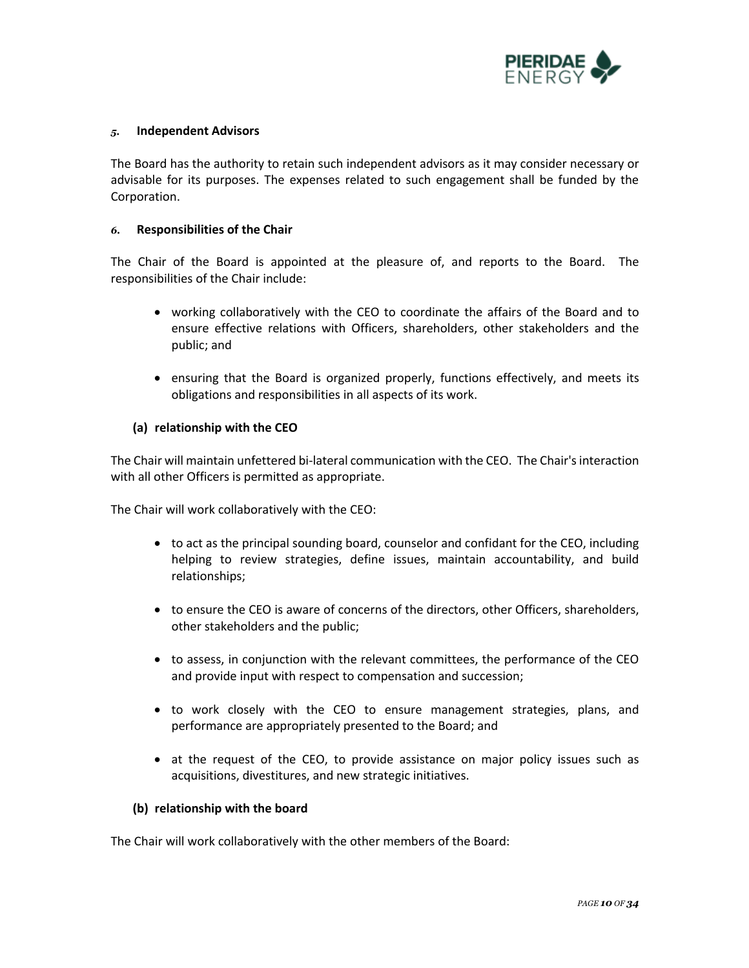

### *5.* **Independent Advisors**

The Board has the authority to retain such independent advisors as it may consider necessary or advisable for its purposes. The expenses related to such engagement shall be funded by the Corporation.

### *6.* **Responsibilities of the Chair**

The Chair of the Board is appointed at the pleasure of, and reports to the Board. The responsibilities of the Chair include:

- working collaboratively with the CEO to coordinate the affairs of the Board and to ensure effective relations with Officers, shareholders, other stakeholders and the public; and
- ensuring that the Board is organized properly, functions effectively, and meets its obligations and responsibilities in all aspects of its work.

# **(a) relationship with the CEO**

The Chair will maintain unfettered bi-lateral communication with the CEO. The Chair's interaction with all other Officers is permitted as appropriate.

The Chair will work collaboratively with the CEO:

- to act as the principal sounding board, counselor and confidant for the CEO, including helping to review strategies, define issues, maintain accountability, and build relationships;
- to ensure the CEO is aware of concerns of the directors, other Officers, shareholders, other stakeholders and the public;
- to assess, in conjunction with the relevant committees, the performance of the CEO and provide input with respect to compensation and succession;
- to work closely with the CEO to ensure management strategies, plans, and performance are appropriately presented to the Board; and
- at the request of the CEO, to provide assistance on major policy issues such as acquisitions, divestitures, and new strategic initiatives.

### **(b) relationship with the board**

The Chair will work collaboratively with the other members of the Board: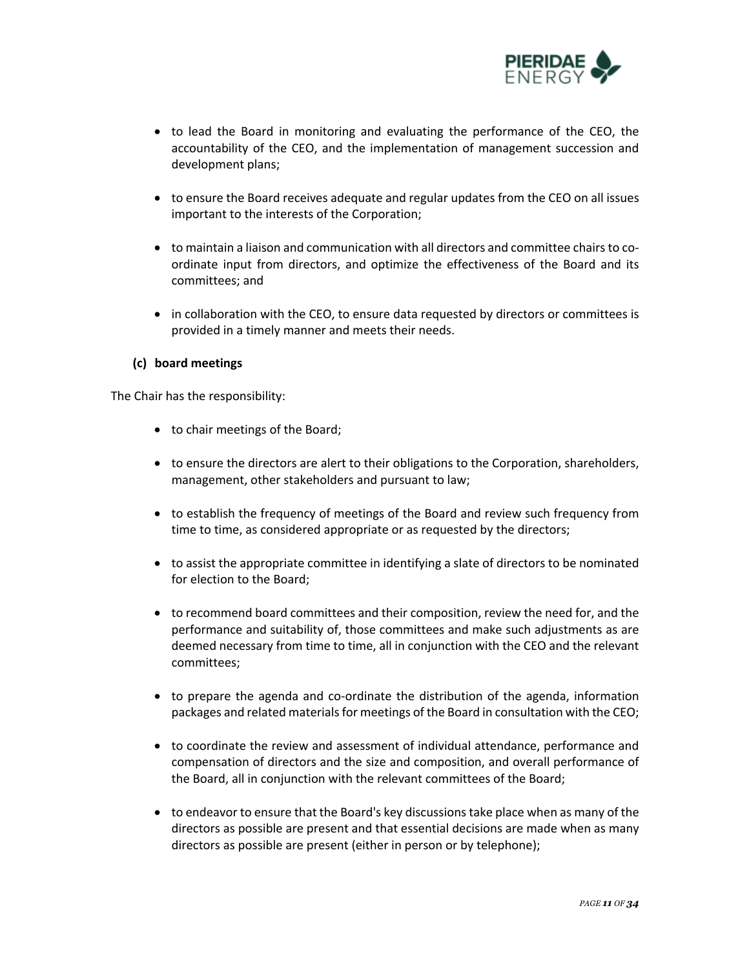

- to lead the Board in monitoring and evaluating the performance of the CEO, the accountability of the CEO, and the implementation of management succession and development plans;
- to ensure the Board receives adequate and regular updates from the CEO on all issues important to the interests of the Corporation;
- to maintain a liaison and communication with all directors and committee chairs to coordinate input from directors, and optimize the effectiveness of the Board and its committees; and
- in collaboration with the CEO, to ensure data requested by directors or committees is provided in a timely manner and meets their needs.

# **(c) board meetings**

The Chair has the responsibility:

- to chair meetings of the Board;
- to ensure the directors are alert to their obligations to the Corporation, shareholders, management, other stakeholders and pursuant to law;
- to establish the frequency of meetings of the Board and review such frequency from time to time, as considered appropriate or as requested by the directors;
- to assist the appropriate committee in identifying a slate of directors to be nominated for election to the Board;
- to recommend board committees and their composition, review the need for, and the performance and suitability of, those committees and make such adjustments as are deemed necessary from time to time, all in conjunction with the CEO and the relevant committees;
- to prepare the agenda and co-ordinate the distribution of the agenda, information packages and related materials for meetings of the Board in consultation with the CEO;
- to coordinate the review and assessment of individual attendance, performance and compensation of directors and the size and composition, and overall performance of the Board, all in conjunction with the relevant committees of the Board;
- to endeavor to ensure that the Board's key discussions take place when as many of the directors as possible are present and that essential decisions are made when as many directors as possible are present (either in person or by telephone);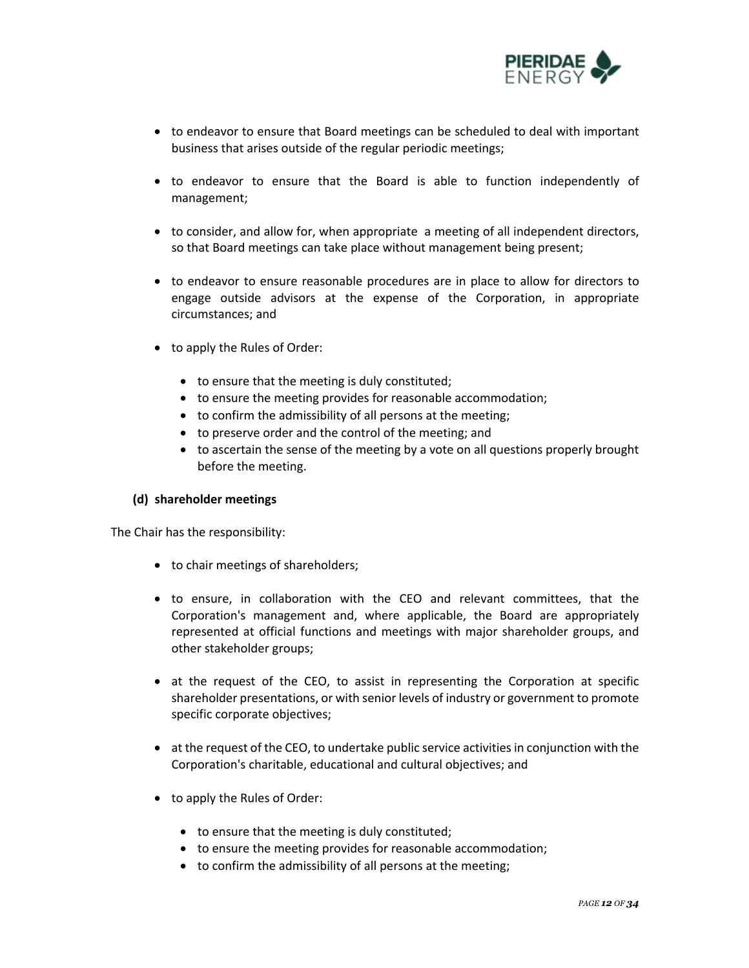

- to endeavor to ensure that Board meetings can be scheduled to deal with important business that arises outside of the regular periodic meetings;
- to endeavor to ensure that the Board is able to function independently of management;
- to consider, and allow for, when appropriate a meeting of all independent directors, so that Board meetings can take place without management being present;
- to endeavor to ensure reasonable procedures are in place to allow for directors to engage outside advisors at the expense of the Corporation, in appropriate circumstances; and
- to apply the Rules of Order:
	- to ensure that the meeting is duly constituted;
	- to ensure the meeting provides for reasonable accommodation;
	- to confirm the admissibility of all persons at the meeting;
	- to preserve order and the control of the meeting; and
	- to ascertain the sense of the meeting by a vote on all questions properly brought before the meeting.

### **(d) shareholder meetings**

The Chair has the responsibility:

- to chair meetings of shareholders;
- to ensure, in collaboration with the CEO and relevant committees, that the Corporation's management and, where applicable, the Board are appropriately represented at official functions and meetings with major shareholder groups, and other stakeholder groups;
- at the request of the CEO, to assist in representing the Corporation at specific shareholder presentations, or with senior levels of industry or government to promote specific corporate objectives;
- at the request of the CEO, to undertake public service activities in conjunction with the Corporation's charitable, educational and cultural objectives; and
- to apply the Rules of Order:
	- to ensure that the meeting is duly constituted;
	- to ensure the meeting provides for reasonable accommodation;
	- to confirm the admissibility of all persons at the meeting;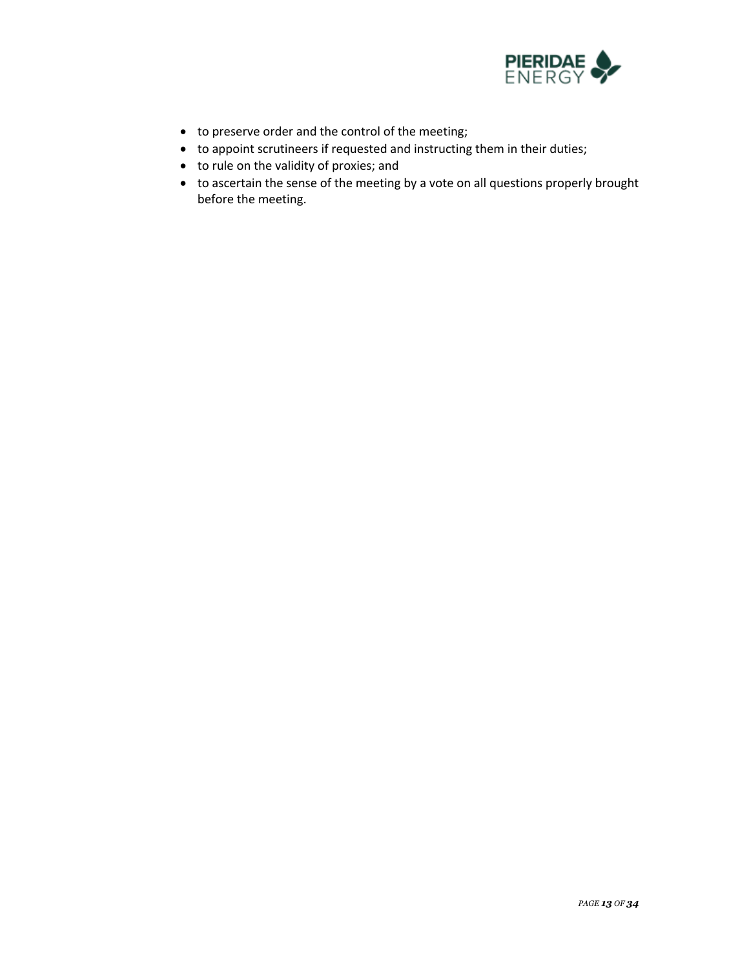

- to preserve order and the control of the meeting;
- to appoint scrutineers if requested and instructing them in their duties;
- to rule on the validity of proxies; and
- to ascertain the sense of the meeting by a vote on all questions properly brought before the meeting.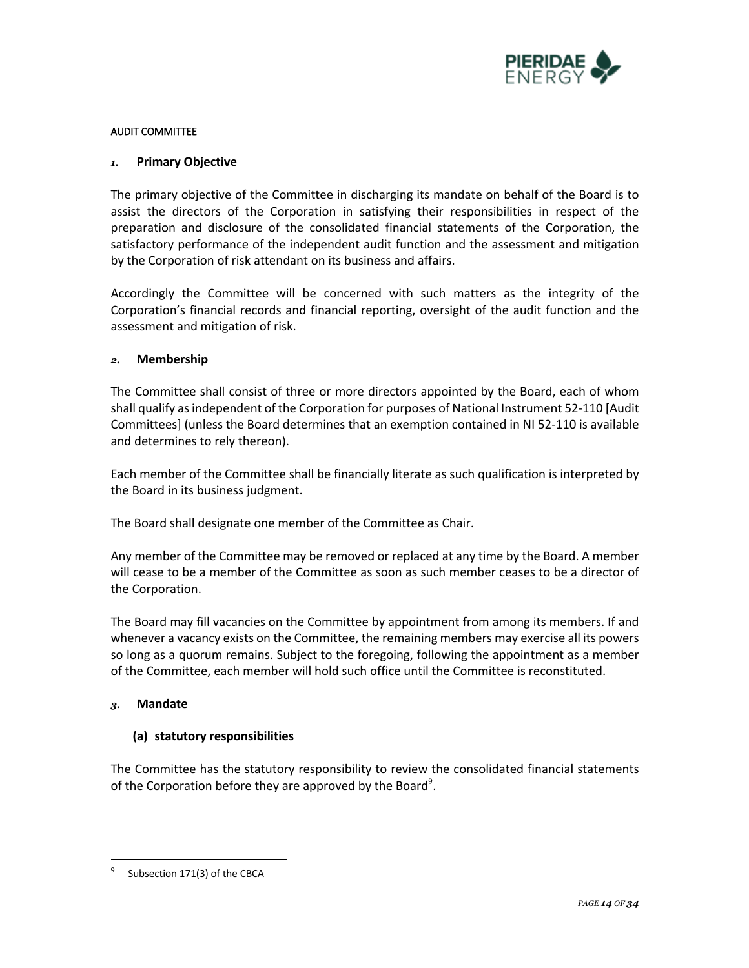

### AUDIT COMMITTEE

# *1.* **Primary Objective**

The primary objective of the Committee in discharging its mandate on behalf of the Board is to assist the directors of the Corporation in satisfying their responsibilities in respect of the preparation and disclosure of the consolidated financial statements of the Corporation, the satisfactory performance of the independent audit function and the assessment and mitigation by the Corporation of risk attendant on its business and affairs.

Accordingly the Committee will be concerned with such matters as the integrity of the Corporation's financial records and financial reporting, oversight of the audit function and the assessment and mitigation of risk.

# *2.* **Membership**

The Committee shall consist of three or more directors appointed by the Board, each of whom shall qualify as independent of the Corporation for purposes of National Instrument 52-110 [Audit Committees] (unless the Board determines that an exemption contained in NI 52-110 is available and determines to rely thereon).

Each member of the Committee shall be financially literate as such qualification is interpreted by the Board in its business judgment.

The Board shall designate one member of the Committee as Chair.

Any member of the Committee may be removed or replaced at any time by the Board. A member will cease to be a member of the Committee as soon as such member ceases to be a director of the Corporation.

The Board may fill vacancies on the Committee by appointment from among its members. If and whenever a vacancy exists on the Committee, the remaining members may exercise all its powers so long as a quorum remains. Subject to the foregoing, following the appointment as a member of the Committee, each member will hold such office until the Committee is reconstituted.

### *3.* **Mandate**

# **(a) statutory responsibilities**

The Committee has the statutory responsibility to review the consolidated financial statements of the Corporation before they are approved by the Board<sup>9</sup>.

Subsection 171(3) of the CBCA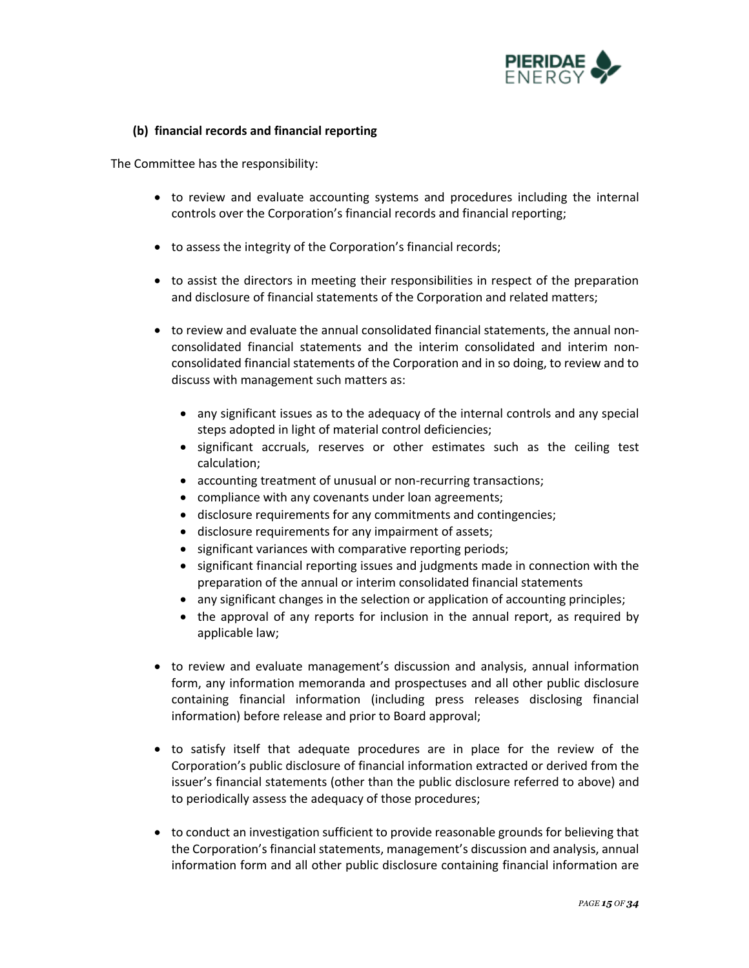

# **(b) financial records and financial reporting**

- to review and evaluate accounting systems and procedures including the internal controls over the Corporation's financial records and financial reporting;
- to assess the integrity of the Corporation's financial records;
- to assist the directors in meeting their responsibilities in respect of the preparation and disclosure of financial statements of the Corporation and related matters;
- to review and evaluate the annual consolidated financial statements, the annual nonconsolidated financial statements and the interim consolidated and interim nonconsolidated financial statements of the Corporation and in so doing, to review and to discuss with management such matters as:
	- any significant issues as to the adequacy of the internal controls and any special steps adopted in light of material control deficiencies;
	- significant accruals, reserves or other estimates such as the ceiling test calculation;
	- accounting treatment of unusual or non-recurring transactions;
	- compliance with any covenants under loan agreements;
	- disclosure requirements for any commitments and contingencies;
	- disclosure requirements for any impairment of assets;
	- significant variances with comparative reporting periods;
	- significant financial reporting issues and judgments made in connection with the preparation of the annual or interim consolidated financial statements
	- any significant changes in the selection or application of accounting principles;
	- the approval of any reports for inclusion in the annual report, as required by applicable law;
- to review and evaluate management's discussion and analysis, annual information form, any information memoranda and prospectuses and all other public disclosure containing financial information (including press releases disclosing financial information) before release and prior to Board approval;
- to satisfy itself that adequate procedures are in place for the review of the Corporation's public disclosure of financial information extracted or derived from the issuer's financial statements (other than the public disclosure referred to above) and to periodically assess the adequacy of those procedures;
- to conduct an investigation sufficient to provide reasonable grounds for believing that the Corporation's financial statements, management's discussion and analysis, annual information form and all other public disclosure containing financial information are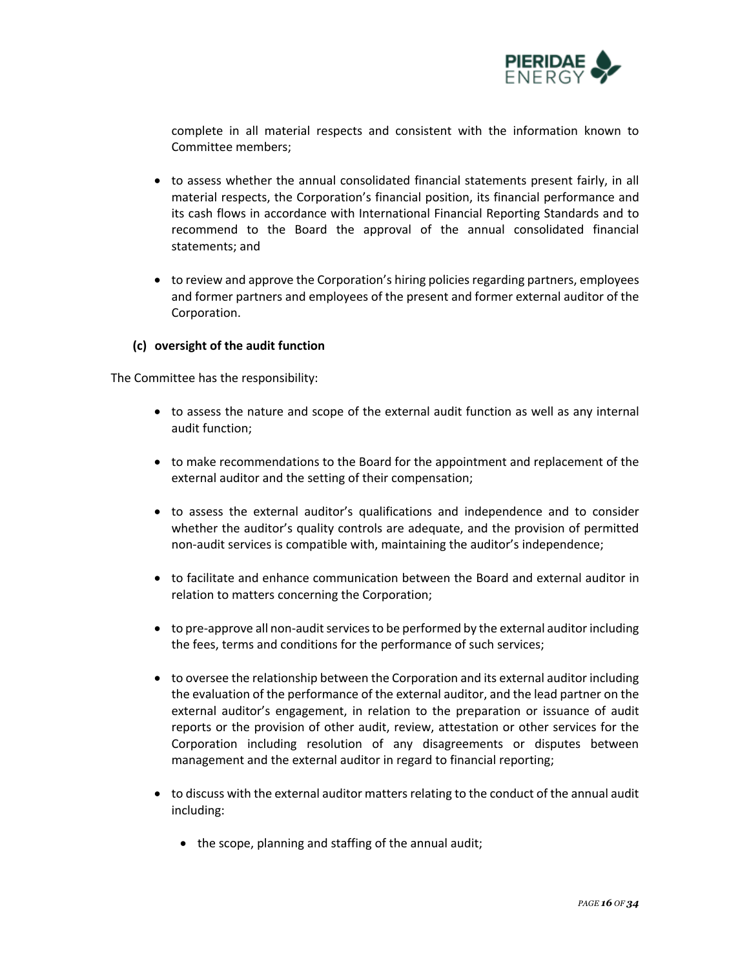

complete in all material respects and consistent with the information known to Committee members;

- to assess whether the annual consolidated financial statements present fairly, in all material respects, the Corporation's financial position, its financial performance and its cash flows in accordance with International Financial Reporting Standards and to recommend to the Board the approval of the annual consolidated financial statements; and
- to review and approve the Corporation's hiring policies regarding partners, employees and former partners and employees of the present and former external auditor of the Corporation.

# **(c) oversight of the audit function**

- to assess the nature and scope of the external audit function as well as any internal audit function;
- to make recommendations to the Board for the appointment and replacement of the external auditor and the setting of their compensation;
- to assess the external auditor's qualifications and independence and to consider whether the auditor's quality controls are adequate, and the provision of permitted non-audit services is compatible with, maintaining the auditor's independence;
- to facilitate and enhance communication between the Board and external auditor in relation to matters concerning the Corporation;
- to pre-approve all non-audit services to be performed by the external auditor including the fees, terms and conditions for the performance of such services;
- to oversee the relationship between the Corporation and its external auditor including the evaluation of the performance of the external auditor, and the lead partner on the external auditor's engagement, in relation to the preparation or issuance of audit reports or the provision of other audit, review, attestation or other services for the Corporation including resolution of any disagreements or disputes between management and the external auditor in regard to financial reporting;
- to discuss with the external auditor matters relating to the conduct of the annual audit including:
	- the scope, planning and staffing of the annual audit;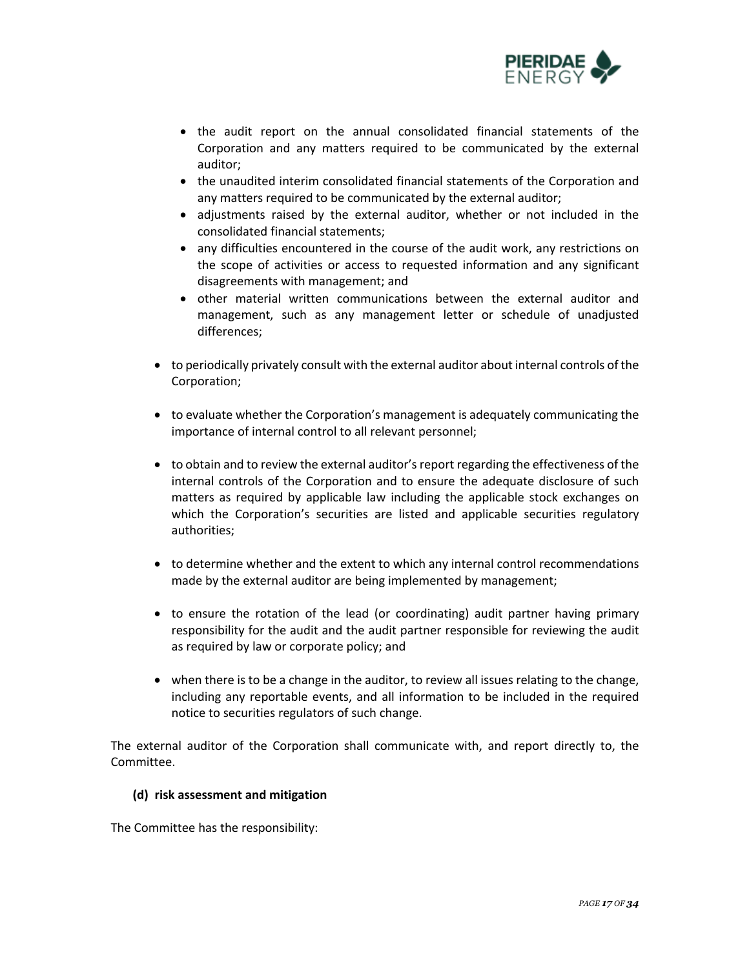

- the audit report on the annual consolidated financial statements of the Corporation and any matters required to be communicated by the external auditor;
- the unaudited interim consolidated financial statements of the Corporation and any matters required to be communicated by the external auditor;
- adjustments raised by the external auditor, whether or not included in the consolidated financial statements;
- any difficulties encountered in the course of the audit work, any restrictions on the scope of activities or access to requested information and any significant disagreements with management; and
- other material written communications between the external auditor and management, such as any management letter or schedule of unadjusted differences;
- to periodically privately consult with the external auditor about internal controls of the Corporation;
- to evaluate whether the Corporation's management is adequately communicating the importance of internal control to all relevant personnel;
- to obtain and to review the external auditor's report regarding the effectiveness of the internal controls of the Corporation and to ensure the adequate disclosure of such matters as required by applicable law including the applicable stock exchanges on which the Corporation's securities are listed and applicable securities regulatory authorities;
- to determine whether and the extent to which any internal control recommendations made by the external auditor are being implemented by management;
- to ensure the rotation of the lead (or coordinating) audit partner having primary responsibility for the audit and the audit partner responsible for reviewing the audit as required by law or corporate policy; and
- when there is to be a change in the auditor, to review all issues relating to the change, including any reportable events, and all information to be included in the required notice to securities regulators of such change.

The external auditor of the Corporation shall communicate with, and report directly to, the Committee.

# **(d) risk assessment and mitigation**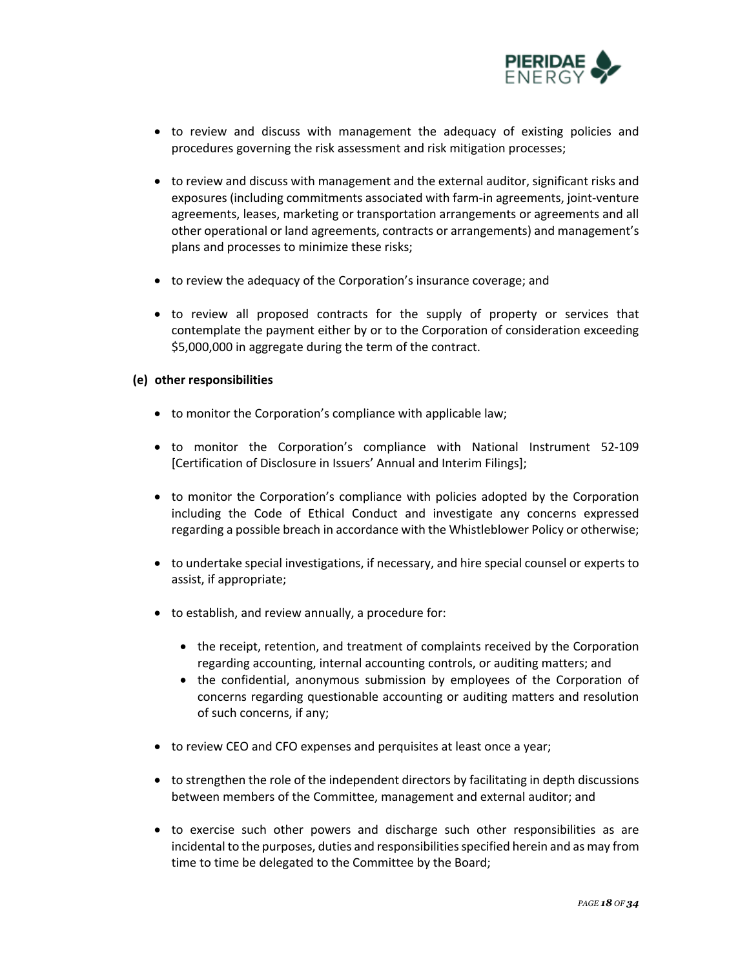

- to review and discuss with management the adequacy of existing policies and procedures governing the risk assessment and risk mitigation processes;
- to review and discuss with management and the external auditor, significant risks and exposures (including commitments associated with farm-in agreements, joint-venture agreements, leases, marketing or transportation arrangements or agreements and all other operational or land agreements, contracts or arrangements) and management's plans and processes to minimize these risks;
- to review the adequacy of the Corporation's insurance coverage; and
- to review all proposed contracts for the supply of property or services that contemplate the payment either by or to the Corporation of consideration exceeding \$5,000,000 in aggregate during the term of the contract.

# **(e) other responsibilities**

- to monitor the Corporation's compliance with applicable law;
- to monitor the Corporation's compliance with National Instrument 52-109 [Certification of Disclosure in Issuers' Annual and Interim Filings];
- to monitor the Corporation's compliance with policies adopted by the Corporation including the Code of Ethical Conduct and investigate any concerns expressed regarding a possible breach in accordance with the Whistleblower Policy or otherwise;
- to undertake special investigations, if necessary, and hire special counsel or experts to assist, if appropriate;
- to establish, and review annually, a procedure for:
	- the receipt, retention, and treatment of complaints received by the Corporation regarding accounting, internal accounting controls, or auditing matters; and
	- the confidential, anonymous submission by employees of the Corporation of concerns regarding questionable accounting or auditing matters and resolution of such concerns, if any;
- to review CEO and CFO expenses and perquisites at least once a year;
- to strengthen the role of the independent directors by facilitating in depth discussions between members of the Committee, management and external auditor; and
- to exercise such other powers and discharge such other responsibilities as are incidental to the purposes, duties and responsibilities specified herein and as may from time to time be delegated to the Committee by the Board;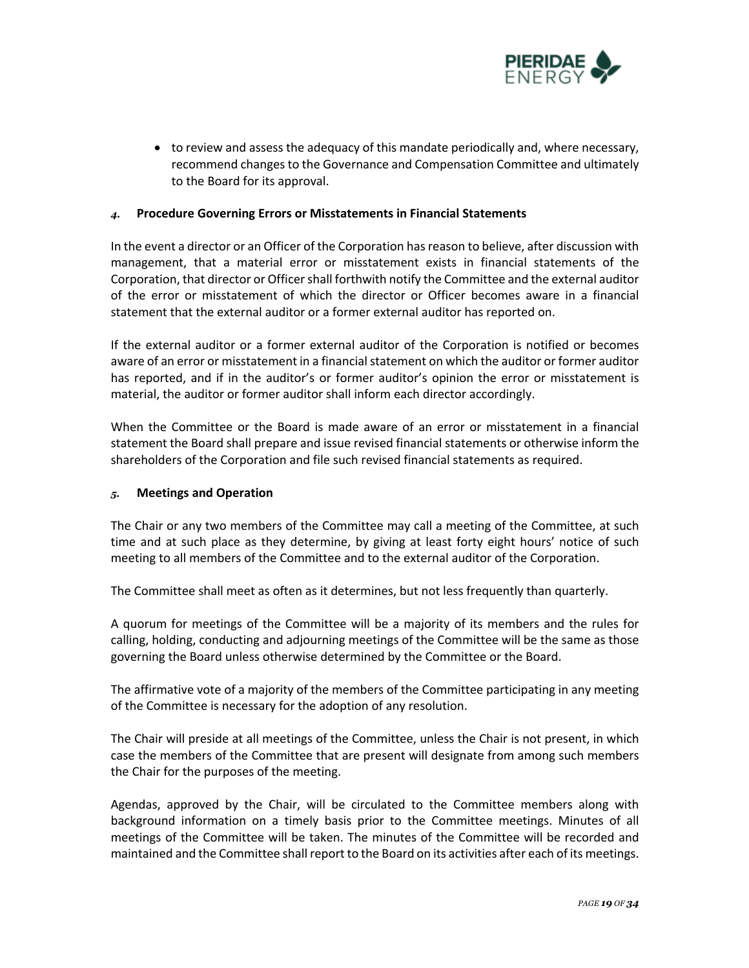

• to review and assess the adequacy of this mandate periodically and, where necessary, recommend changes to the Governance and Compensation Committee and ultimately to the Board for its approval.

### *4.* **Procedure Governing Errors or Misstatements in Financial Statements**

In the event a director or an Officer of the Corporation has reason to believe, after discussion with management, that a material error or misstatement exists in financial statements of the Corporation, that director or Officer shall forthwith notify the Committee and the external auditor of the error or misstatement of which the director or Officer becomes aware in a financial statement that the external auditor or a former external auditor has reported on.

If the external auditor or a former external auditor of the Corporation is notified or becomes aware of an error or misstatement in a financial statement on which the auditor or former auditor has reported, and if in the auditor's or former auditor's opinion the error or misstatement is material, the auditor or former auditor shall inform each director accordingly.

When the Committee or the Board is made aware of an error or misstatement in a financial statement the Board shall prepare and issue revised financial statements or otherwise inform the shareholders of the Corporation and file such revised financial statements as required.

### *5.* **Meetings and Operation**

The Chair or any two members of the Committee may call a meeting of the Committee, at such time and at such place as they determine, by giving at least forty eight hours' notice of such meeting to all members of the Committee and to the external auditor of the Corporation.

The Committee shall meet as often as it determines, but not less frequently than quarterly.

A quorum for meetings of the Committee will be a majority of its members and the rules for calling, holding, conducting and adjourning meetings of the Committee will be the same as those governing the Board unless otherwise determined by the Committee or the Board.

The affirmative vote of a majority of the members of the Committee participating in any meeting of the Committee is necessary for the adoption of any resolution.

The Chair will preside at all meetings of the Committee, unless the Chair is not present, in which case the members of the Committee that are present will designate from among such members the Chair for the purposes of the meeting.

Agendas, approved by the Chair, will be circulated to the Committee members along with background information on a timely basis prior to the Committee meetings. Minutes of all meetings of the Committee will be taken. The minutes of the Committee will be recorded and maintained and the Committee shall report to the Board on its activities after each of its meetings.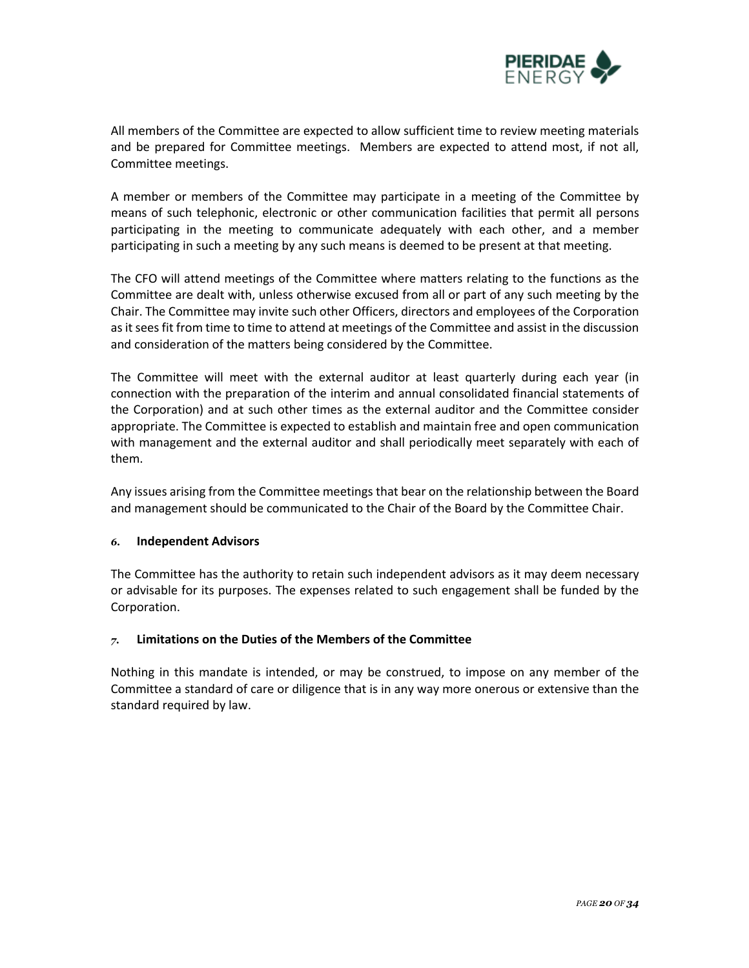

All members of the Committee are expected to allow sufficient time to review meeting materials and be prepared for Committee meetings. Members are expected to attend most, if not all, Committee meetings.

A member or members of the Committee may participate in a meeting of the Committee by means of such telephonic, electronic or other communication facilities that permit all persons participating in the meeting to communicate adequately with each other, and a member participating in such a meeting by any such means is deemed to be present at that meeting.

The CFO will attend meetings of the Committee where matters relating to the functions as the Committee are dealt with, unless otherwise excused from all or part of any such meeting by the Chair. The Committee may invite such other Officers, directors and employees of the Corporation as it sees fit from time to time to attend at meetings of the Committee and assist in the discussion and consideration of the matters being considered by the Committee.

The Committee will meet with the external auditor at least quarterly during each year (in connection with the preparation of the interim and annual consolidated financial statements of the Corporation) and at such other times as the external auditor and the Committee consider appropriate. The Committee is expected to establish and maintain free and open communication with management and the external auditor and shall periodically meet separately with each of them.

Any issues arising from the Committee meetings that bear on the relationship between the Board and management should be communicated to the Chair of the Board by the Committee Chair.

### *6.* **Independent Advisors**

The Committee has the authority to retain such independent advisors as it may deem necessary or advisable for its purposes. The expenses related to such engagement shall be funded by the Corporation.

### *7.* **Limitations on the Duties of the Members of the Committee**

Nothing in this mandate is intended, or may be construed, to impose on any member of the Committee a standard of care or diligence that is in any way more onerous or extensive than the standard required by law.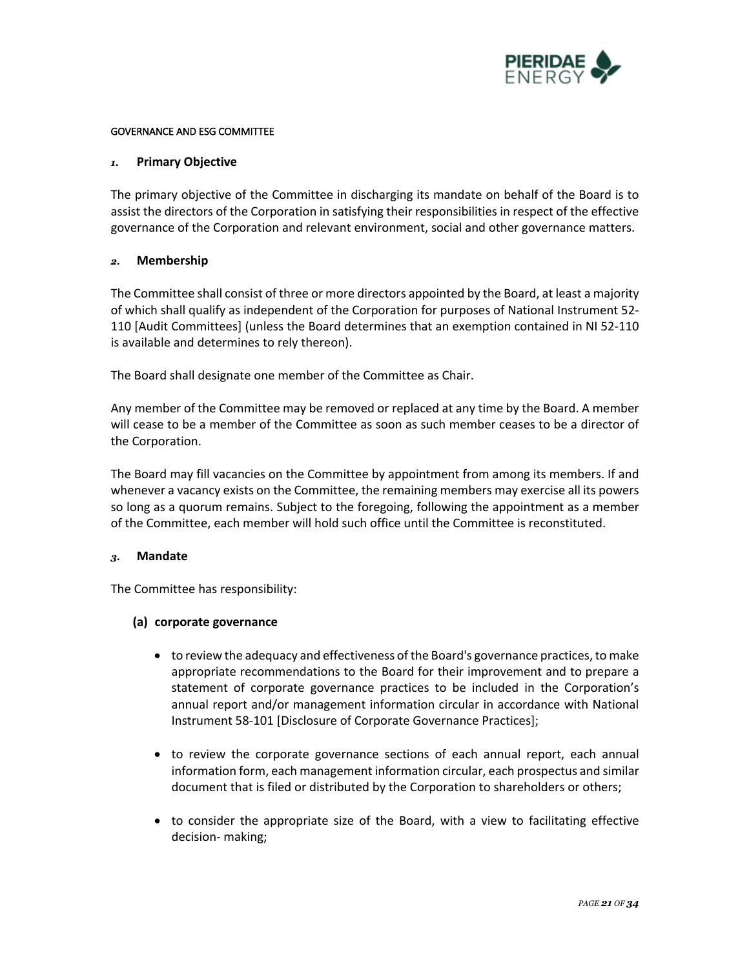

### GOVERNANCE AND ESG COMMITTEE

### *1.* **Primary Objective**

The primary objective of the Committee in discharging its mandate on behalf of the Board is to assist the directors of the Corporation in satisfying their responsibilities in respect of the effective governance of the Corporation and relevant environment, social and other governance matters.

# *2.* **Membership**

The Committee shall consist of three or more directors appointed by the Board, at least a majority of which shall qualify as independent of the Corporation for purposes of National Instrument 52- 110 [Audit Committees] (unless the Board determines that an exemption contained in NI 52-110 is available and determines to rely thereon).

The Board shall designate one member of the Committee as Chair.

Any member of the Committee may be removed or replaced at any time by the Board. A member will cease to be a member of the Committee as soon as such member ceases to be a director of the Corporation.

The Board may fill vacancies on the Committee by appointment from among its members. If and whenever a vacancy exists on the Committee, the remaining members may exercise all its powers so long as a quorum remains. Subject to the foregoing, following the appointment as a member of the Committee, each member will hold such office until the Committee is reconstituted.

### *3.* **Mandate**

The Committee has responsibility:

# **(a) corporate governance**

- to review the adequacy and effectiveness of the Board's governance practices, to make appropriate recommendations to the Board for their improvement and to prepare a statement of corporate governance practices to be included in the Corporation's annual report and/or management information circular in accordance with National Instrument 58-101 [Disclosure of Corporate Governance Practices];
- to review the corporate governance sections of each annual report, each annual information form, each management information circular, each prospectus and similar document that is filed or distributed by the Corporation to shareholders or others;
- to consider the appropriate size of the Board, with a view to facilitating effective decision- making;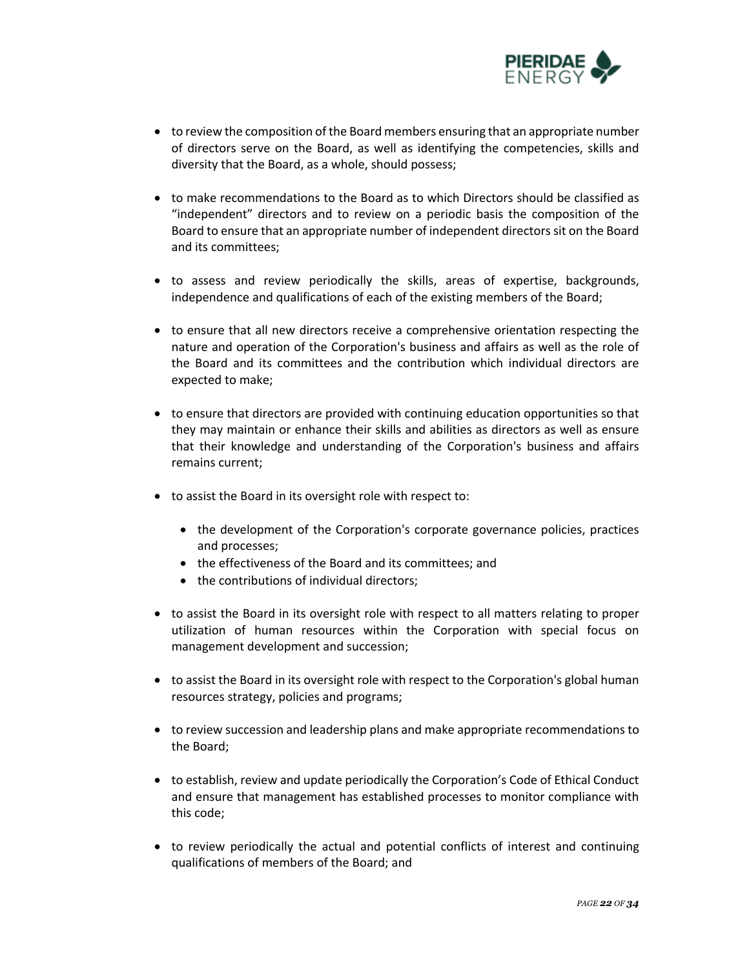

- to review the composition of the Board members ensuring that an appropriate number of directors serve on the Board, as well as identifying the competencies, skills and diversity that the Board, as a whole, should possess;
- to make recommendations to the Board as to which Directors should be classified as "independent" directors and to review on a periodic basis the composition of the Board to ensure that an appropriate number of independent directors sit on the Board and its committees;
- to assess and review periodically the skills, areas of expertise, backgrounds, independence and qualifications of each of the existing members of the Board;
- to ensure that all new directors receive a comprehensive orientation respecting the nature and operation of the Corporation's business and affairs as well as the role of the Board and its committees and the contribution which individual directors are expected to make;
- to ensure that directors are provided with continuing education opportunities so that they may maintain or enhance their skills and abilities as directors as well as ensure that their knowledge and understanding of the Corporation's business and affairs remains current;
- to assist the Board in its oversight role with respect to:
	- the development of the Corporation's corporate governance policies, practices and processes;
	- the effectiveness of the Board and its committees; and
	- the contributions of individual directors;
- to assist the Board in its oversight role with respect to all matters relating to proper utilization of human resources within the Corporation with special focus on management development and succession;
- to assist the Board in its oversight role with respect to the Corporation's global human resources strategy, policies and programs;
- to review succession and leadership plans and make appropriate recommendations to the Board;
- to establish, review and update periodically the Corporation's Code of Ethical Conduct and ensure that management has established processes to monitor compliance with this code;
- to review periodically the actual and potential conflicts of interest and continuing qualifications of members of the Board; and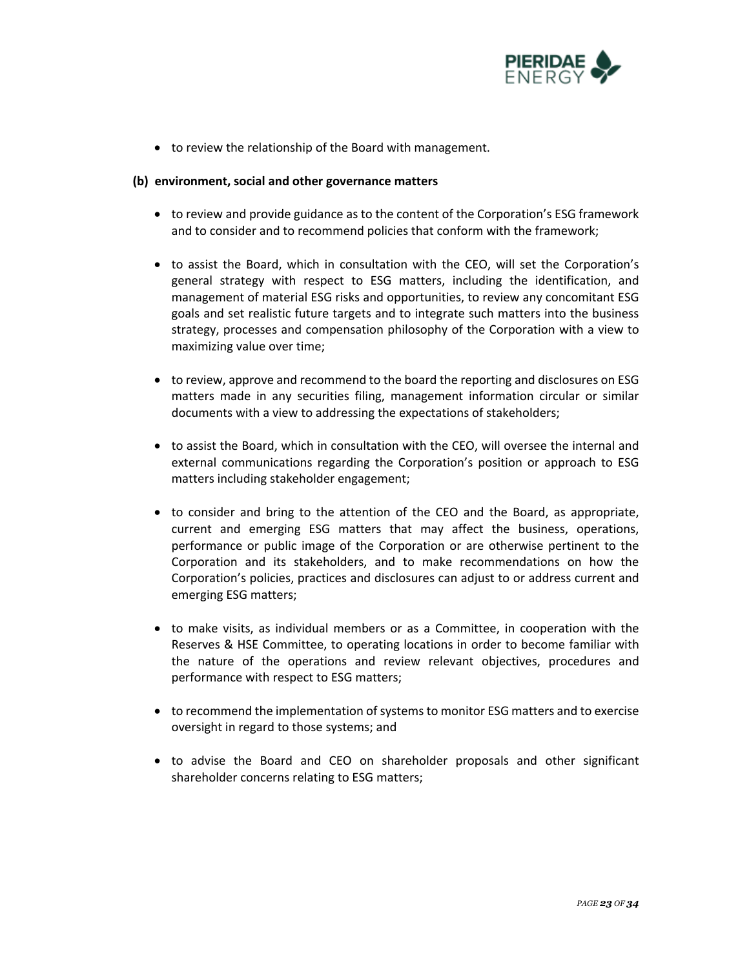

• to review the relationship of the Board with management.

### **(b) environment, social and other governance matters**

- to review and provide guidance as to the content of the Corporation's ESG framework and to consider and to recommend policies that conform with the framework;
- to assist the Board, which in consultation with the CEO, will set the Corporation's general strategy with respect to ESG matters, including the identification, and management of material ESG risks and opportunities, to review any concomitant ESG goals and set realistic future targets and to integrate such matters into the business strategy, processes and compensation philosophy of the Corporation with a view to maximizing value over time;
- to review, approve and recommend to the board the reporting and disclosures on ESG matters made in any securities filing, management information circular or similar documents with a view to addressing the expectations of stakeholders;
- to assist the Board, which in consultation with the CEO, will oversee the internal and external communications regarding the Corporation's position or approach to ESG matters including stakeholder engagement;
- to consider and bring to the attention of the CEO and the Board, as appropriate, current and emerging ESG matters that may affect the business, operations, performance or public image of the Corporation or are otherwise pertinent to the Corporation and its stakeholders, and to make recommendations on how the Corporation's policies, practices and disclosures can adjust to or address current and emerging ESG matters;
- to make visits, as individual members or as a Committee, in cooperation with the Reserves & HSE Committee, to operating locations in order to become familiar with the nature of the operations and review relevant objectives, procedures and performance with respect to ESG matters;
- to recommend the implementation of systems to monitor ESG matters and to exercise oversight in regard to those systems; and
- to advise the Board and CEO on shareholder proposals and other significant shareholder concerns relating to ESG matters;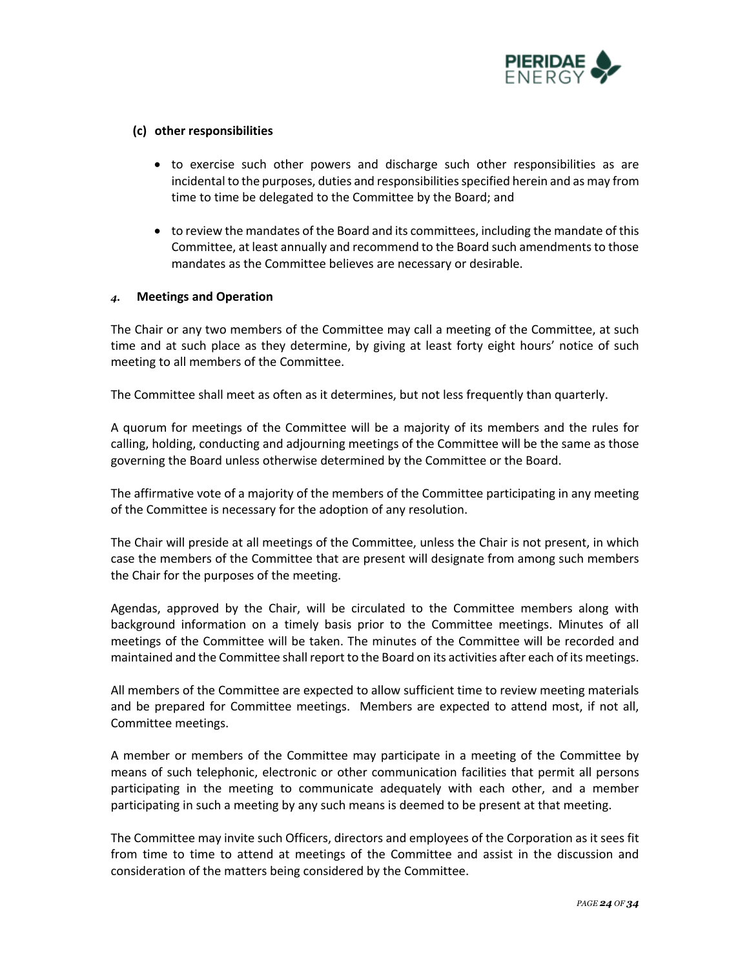

### **(c) other responsibilities**

- to exercise such other powers and discharge such other responsibilities as are incidental to the purposes, duties and responsibilities specified herein and as may from time to time be delegated to the Committee by the Board; and
- to review the mandates of the Board and its committees, including the mandate of this Committee, at least annually and recommend to the Board such amendments to those mandates as the Committee believes are necessary or desirable.

# *4.* **Meetings and Operation**

The Chair or any two members of the Committee may call a meeting of the Committee, at such time and at such place as they determine, by giving at least forty eight hours' notice of such meeting to all members of the Committee.

The Committee shall meet as often as it determines, but not less frequently than quarterly.

A quorum for meetings of the Committee will be a majority of its members and the rules for calling, holding, conducting and adjourning meetings of the Committee will be the same as those governing the Board unless otherwise determined by the Committee or the Board.

The affirmative vote of a majority of the members of the Committee participating in any meeting of the Committee is necessary for the adoption of any resolution.

The Chair will preside at all meetings of the Committee, unless the Chair is not present, in which case the members of the Committee that are present will designate from among such members the Chair for the purposes of the meeting.

Agendas, approved by the Chair, will be circulated to the Committee members along with background information on a timely basis prior to the Committee meetings. Minutes of all meetings of the Committee will be taken. The minutes of the Committee will be recorded and maintained and the Committee shall report to the Board on its activities after each of its meetings.

All members of the Committee are expected to allow sufficient time to review meeting materials and be prepared for Committee meetings. Members are expected to attend most, if not all, Committee meetings.

A member or members of the Committee may participate in a meeting of the Committee by means of such telephonic, electronic or other communication facilities that permit all persons participating in the meeting to communicate adequately with each other, and a member participating in such a meeting by any such means is deemed to be present at that meeting.

The Committee may invite such Officers, directors and employees of the Corporation as it sees fit from time to time to attend at meetings of the Committee and assist in the discussion and consideration of the matters being considered by the Committee.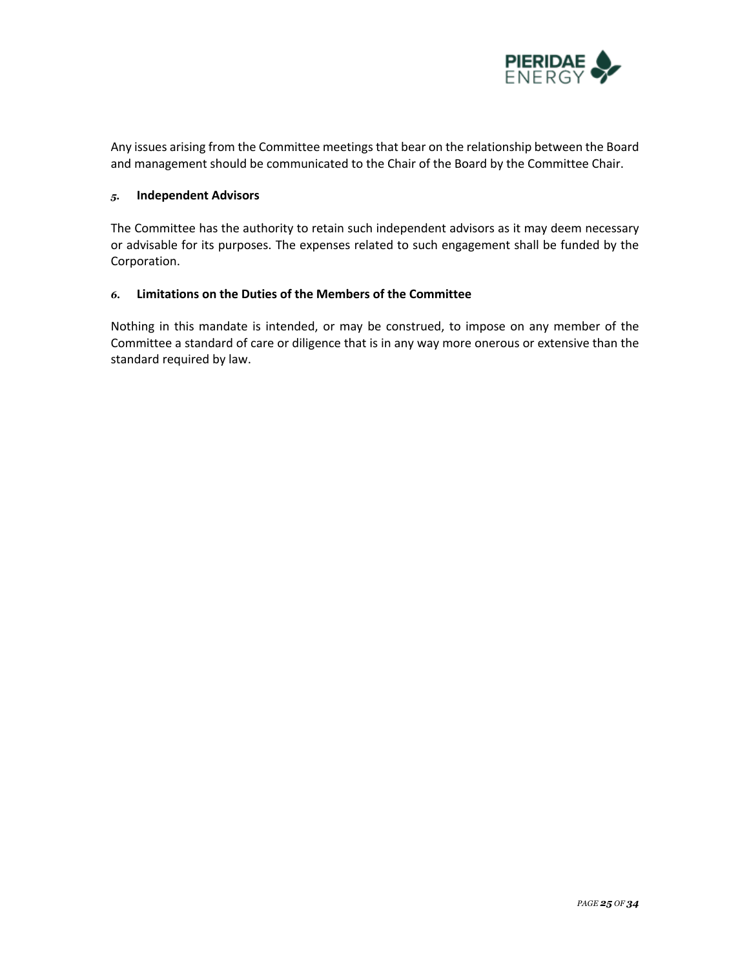

Any issues arising from the Committee meetings that bear on the relationship between the Board and management should be communicated to the Chair of the Board by the Committee Chair.

# *5.* **Independent Advisors**

The Committee has the authority to retain such independent advisors as it may deem necessary or advisable for its purposes. The expenses related to such engagement shall be funded by the Corporation.

# *6.* **Limitations on the Duties of the Members of the Committee**

Nothing in this mandate is intended, or may be construed, to impose on any member of the Committee a standard of care or diligence that is in any way more onerous or extensive than the standard required by law.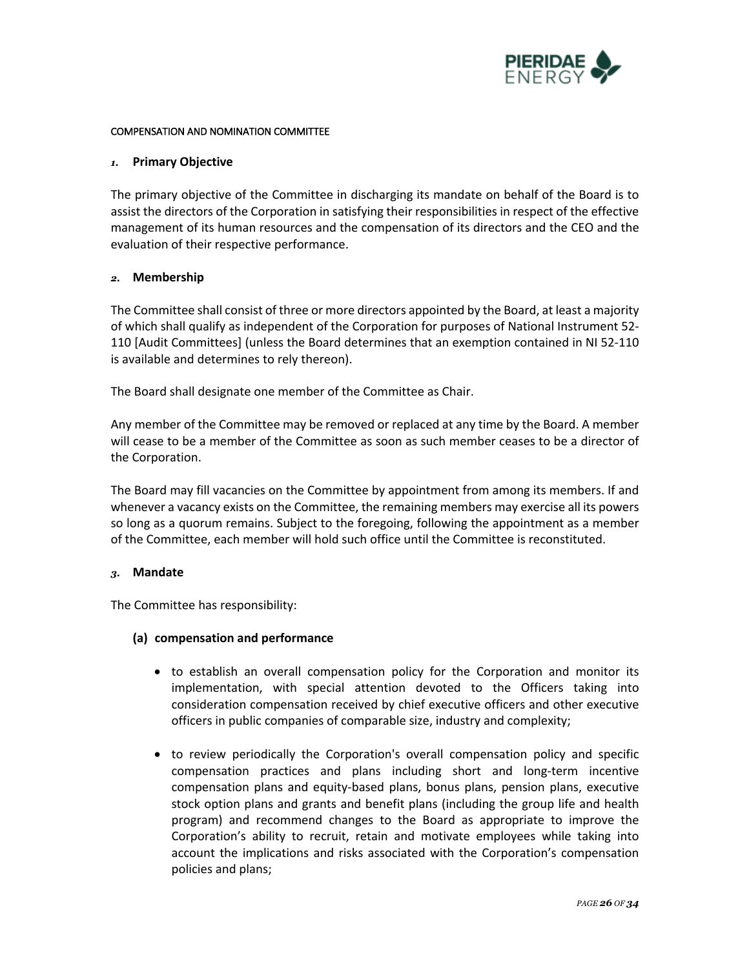

#### COMPENSATION AND NOMINATION COMMITTEE

#### *1.* **Primary Objective**

The primary objective of the Committee in discharging its mandate on behalf of the Board is to assist the directors of the Corporation in satisfying their responsibilities in respect of the effective management of its human resources and the compensation of its directors and the CEO and the evaluation of their respective performance.

#### *2.* **Membership**

The Committee shall consist of three or more directors appointed by the Board, at least a majority of which shall qualify as independent of the Corporation for purposes of National Instrument 52- 110 [Audit Committees] (unless the Board determines that an exemption contained in NI 52-110 is available and determines to rely thereon).

The Board shall designate one member of the Committee as Chair.

Any member of the Committee may be removed or replaced at any time by the Board. A member will cease to be a member of the Committee as soon as such member ceases to be a director of the Corporation.

The Board may fill vacancies on the Committee by appointment from among its members. If and whenever a vacancy exists on the Committee, the remaining members may exercise all its powers so long as a quorum remains. Subject to the foregoing, following the appointment as a member of the Committee, each member will hold such office until the Committee is reconstituted.

### *3.* **Mandate**

The Committee has responsibility:

### **(a) compensation and performance**

- to establish an overall compensation policy for the Corporation and monitor its implementation, with special attention devoted to the Officers taking into consideration compensation received by chief executive officers and other executive officers in public companies of comparable size, industry and complexity;
- to review periodically the Corporation's overall compensation policy and specific compensation practices and plans including short and long-term incentive compensation plans and equity-based plans, bonus plans, pension plans, executive stock option plans and grants and benefit plans (including the group life and health program) and recommend changes to the Board as appropriate to improve the Corporation's ability to recruit, retain and motivate employees while taking into account the implications and risks associated with the Corporation's compensation policies and plans;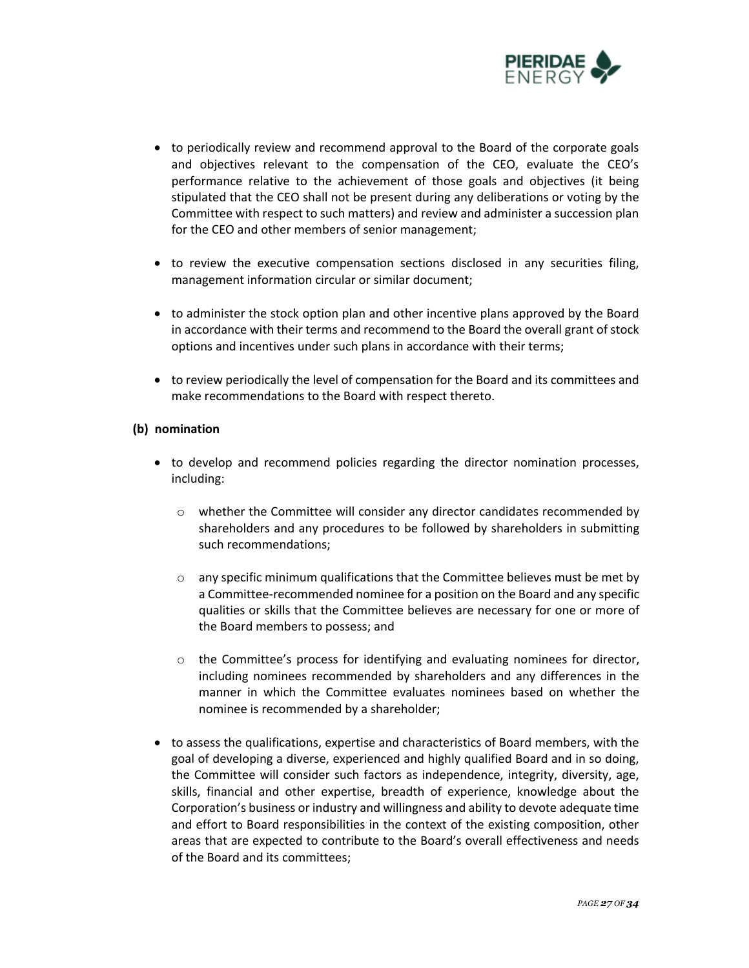

- to periodically review and recommend approval to the Board of the corporate goals and objectives relevant to the compensation of the CEO, evaluate the CEO's performance relative to the achievement of those goals and objectives (it being stipulated that the CEO shall not be present during any deliberations or voting by the Committee with respect to such matters) and review and administer a succession plan for the CEO and other members of senior management;
- to review the executive compensation sections disclosed in any securities filing, management information circular or similar document;
- to administer the stock option plan and other incentive plans approved by the Board in accordance with their terms and recommend to the Board the overall grant of stock options and incentives under such plans in accordance with their terms;
- to review periodically the level of compensation for the Board and its committees and make recommendations to the Board with respect thereto.

# **(b) nomination**

- to develop and recommend policies regarding the director nomination processes, including:
	- o whether the Committee will consider any director candidates recommended by shareholders and any procedures to be followed by shareholders in submitting such recommendations;
	- $\circ$  any specific minimum qualifications that the Committee believes must be met by a Committee-recommended nominee for a position on the Board and any specific qualities or skills that the Committee believes are necessary for one or more of the Board members to possess; and
	- o the Committee's process for identifying and evaluating nominees for director, including nominees recommended by shareholders and any differences in the manner in which the Committee evaluates nominees based on whether the nominee is recommended by a shareholder;
- to assess the qualifications, expertise and characteristics of Board members, with the goal of developing a diverse, experienced and highly qualified Board and in so doing, the Committee will consider such factors as independence, integrity, diversity, age, skills, financial and other expertise, breadth of experience, knowledge about the Corporation's business or industry and willingness and ability to devote adequate time and effort to Board responsibilities in the context of the existing composition, other areas that are expected to contribute to the Board's overall effectiveness and needs of the Board and its committees;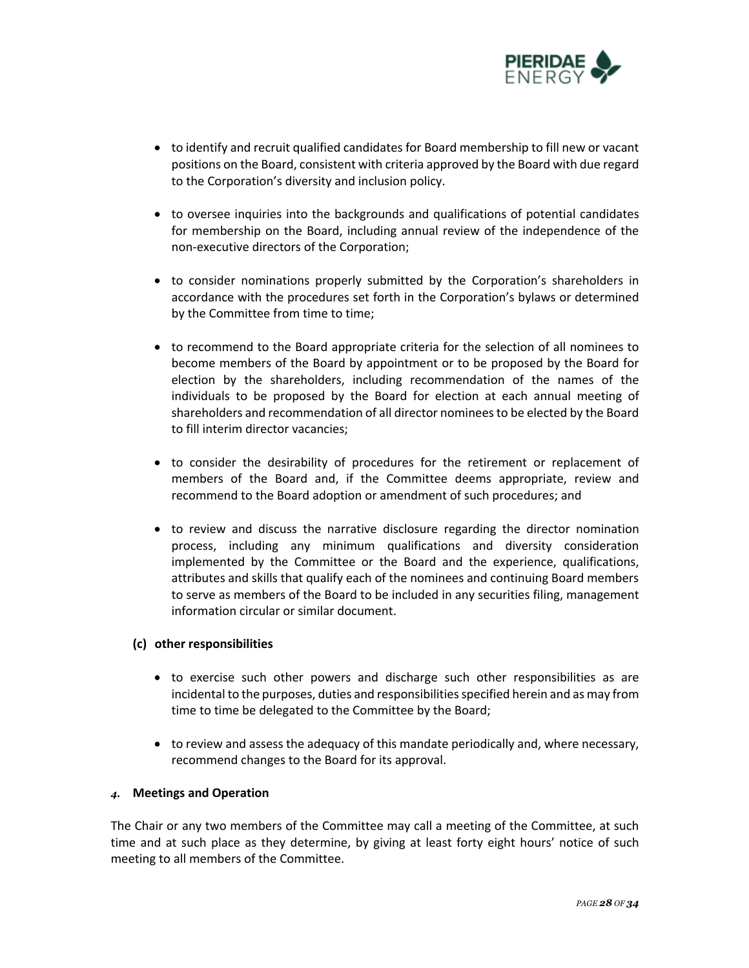

- to identify and recruit qualified candidates for Board membership to fill new or vacant positions on the Board, consistent with criteria approved by the Board with due regard to the Corporation's diversity and inclusion policy.
- to oversee inquiries into the backgrounds and qualifications of potential candidates for membership on the Board, including annual review of the independence of the non-executive directors of the Corporation;
- to consider nominations properly submitted by the Corporation's shareholders in accordance with the procedures set forth in the Corporation's bylaws or determined by the Committee from time to time;
- to recommend to the Board appropriate criteria for the selection of all nominees to become members of the Board by appointment or to be proposed by the Board for election by the shareholders, including recommendation of the names of the individuals to be proposed by the Board for election at each annual meeting of shareholders and recommendation of all director nominees to be elected by the Board to fill interim director vacancies;
- to consider the desirability of procedures for the retirement or replacement of members of the Board and, if the Committee deems appropriate, review and recommend to the Board adoption or amendment of such procedures; and
- to review and discuss the narrative disclosure regarding the director nomination process, including any minimum qualifications and diversity consideration implemented by the Committee or the Board and the experience, qualifications, attributes and skills that qualify each of the nominees and continuing Board members to serve as members of the Board to be included in any securities filing, management information circular or similar document.

### **(c) other responsibilities**

- to exercise such other powers and discharge such other responsibilities as are incidental to the purposes, duties and responsibilities specified herein and as may from time to time be delegated to the Committee by the Board;
- to review and assess the adequacy of this mandate periodically and, where necessary, recommend changes to the Board for its approval.

# *4.* **Meetings and Operation**

The Chair or any two members of the Committee may call a meeting of the Committee, at such time and at such place as they determine, by giving at least forty eight hours' notice of such meeting to all members of the Committee.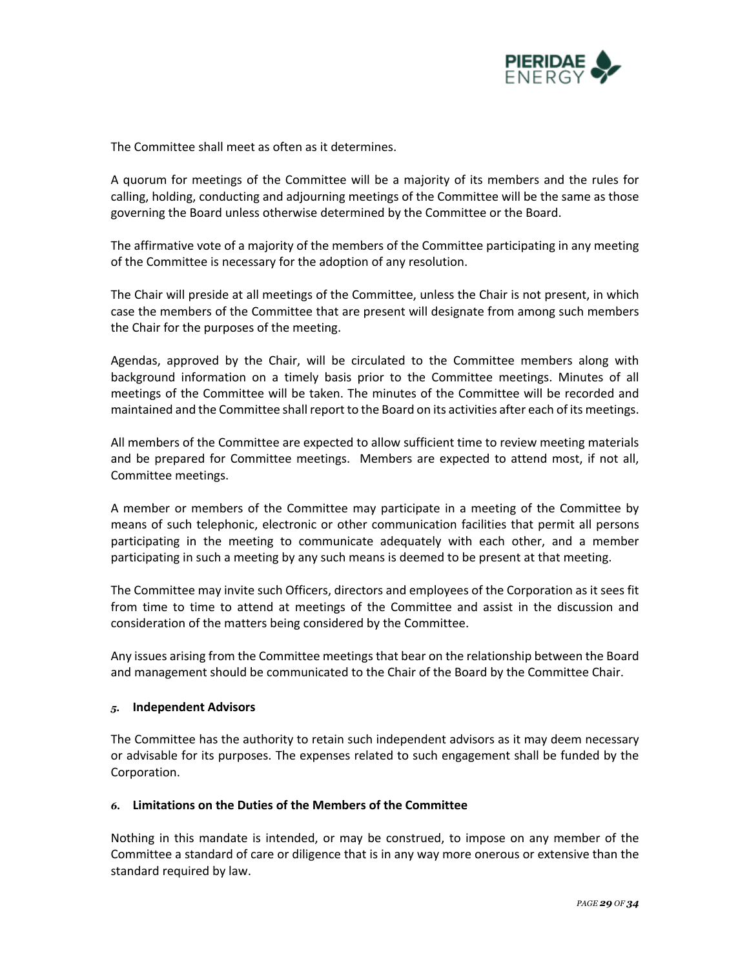

The Committee shall meet as often as it determines.

A quorum for meetings of the Committee will be a majority of its members and the rules for calling, holding, conducting and adjourning meetings of the Committee will be the same as those governing the Board unless otherwise determined by the Committee or the Board.

The affirmative vote of a majority of the members of the Committee participating in any meeting of the Committee is necessary for the adoption of any resolution.

The Chair will preside at all meetings of the Committee, unless the Chair is not present, in which case the members of the Committee that are present will designate from among such members the Chair for the purposes of the meeting.

Agendas, approved by the Chair, will be circulated to the Committee members along with background information on a timely basis prior to the Committee meetings. Minutes of all meetings of the Committee will be taken. The minutes of the Committee will be recorded and maintained and the Committee shall report to the Board on its activities after each of its meetings.

All members of the Committee are expected to allow sufficient time to review meeting materials and be prepared for Committee meetings. Members are expected to attend most, if not all, Committee meetings.

A member or members of the Committee may participate in a meeting of the Committee by means of such telephonic, electronic or other communication facilities that permit all persons participating in the meeting to communicate adequately with each other, and a member participating in such a meeting by any such means is deemed to be present at that meeting.

The Committee may invite such Officers, directors and employees of the Corporation as it sees fit from time to time to attend at meetings of the Committee and assist in the discussion and consideration of the matters being considered by the Committee.

Any issues arising from the Committee meetings that bear on the relationship between the Board and management should be communicated to the Chair of the Board by the Committee Chair.

### *5.* **Independent Advisors**

The Committee has the authority to retain such independent advisors as it may deem necessary or advisable for its purposes. The expenses related to such engagement shall be funded by the Corporation.

# *6.* **Limitations on the Duties of the Members of the Committee**

Nothing in this mandate is intended, or may be construed, to impose on any member of the Committee a standard of care or diligence that is in any way more onerous or extensive than the standard required by law.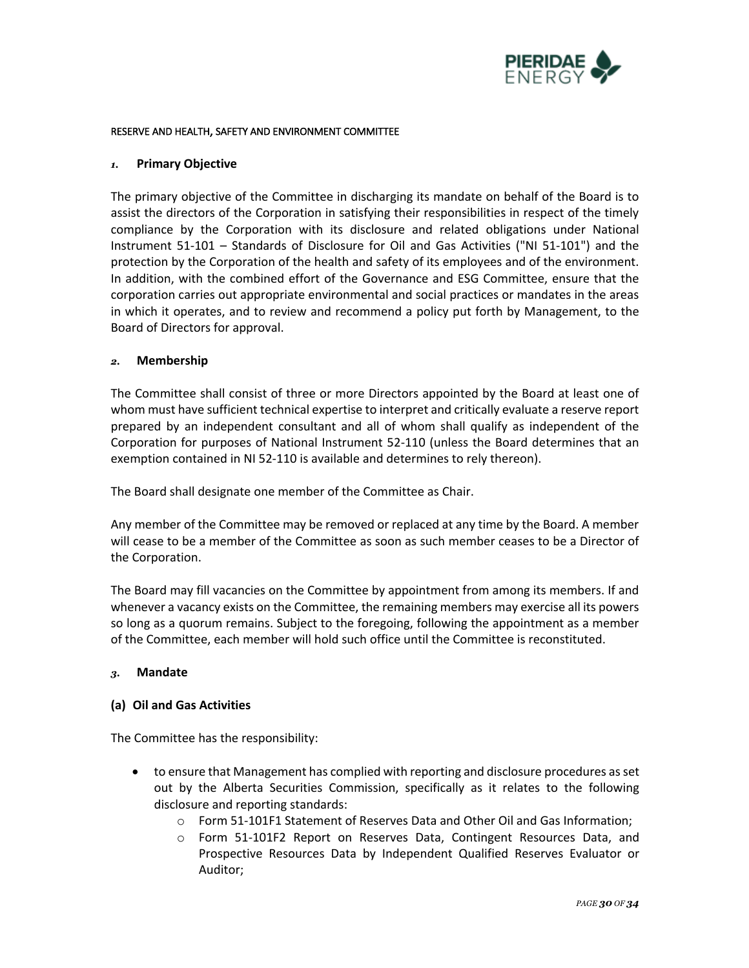

#### RESERVE AND HEALTH, SAFETY AND ENVIRONMENT COMMITTEE

#### *1.* **Primary Objective**

The primary objective of the Committee in discharging its mandate on behalf of the Board is to assist the directors of the Corporation in satisfying their responsibilities in respect of the timely compliance by the Corporation with its disclosure and related obligations under National Instrument 51-101 – Standards of Disclosure for Oil and Gas Activities ("NI 51-101") and the protection by the Corporation of the health and safety of its employees and of the environment. In addition, with the combined effort of the Governance and ESG Committee, ensure that the corporation carries out appropriate environmental and social practices or mandates in the areas in which it operates, and to review and recommend a policy put forth by Management, to the Board of Directors for approval.

#### *2.* **Membership**

The Committee shall consist of three or more Directors appointed by the Board at least one of whom must have sufficient technical expertise to interpret and critically evaluate a reserve report prepared by an independent consultant and all of whom shall qualify as independent of the Corporation for purposes of National Instrument 52-110 (unless the Board determines that an exemption contained in NI 52-110 is available and determines to rely thereon).

The Board shall designate one member of the Committee as Chair.

Any member of the Committee may be removed or replaced at any time by the Board. A member will cease to be a member of the Committee as soon as such member ceases to be a Director of the Corporation.

The Board may fill vacancies on the Committee by appointment from among its members. If and whenever a vacancy exists on the Committee, the remaining members may exercise all its powers so long as a quorum remains. Subject to the foregoing, following the appointment as a member of the Committee, each member will hold such office until the Committee is reconstituted.

### *3.* **Mandate**

### **(a) Oil and Gas Activities**

- to ensure that Management has complied with reporting and disclosure procedures as set out by the Alberta Securities Commission, specifically as it relates to the following disclosure and reporting standards:
	- o Form 51-101F1 Statement of Reserves Data and Other Oil and Gas Information;
	- o Form 51-101F2 Report on Reserves Data, Contingent Resources Data, and Prospective Resources Data by Independent Qualified Reserves Evaluator or Auditor;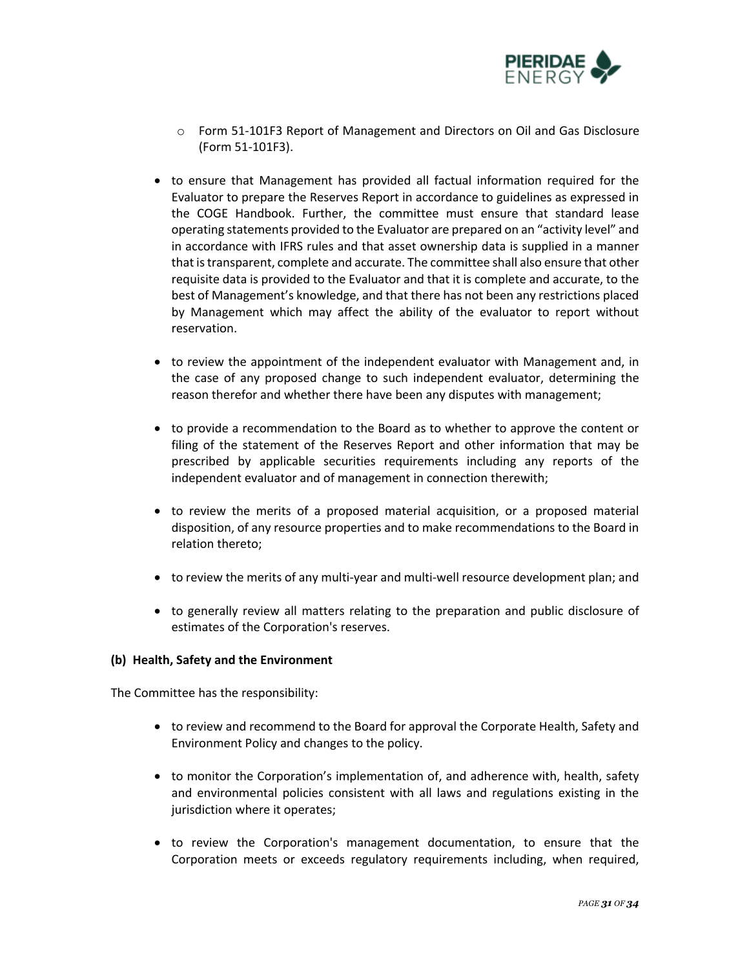

- o Form 51-101F3 Report of Management and Directors on Oil and Gas Disclosure (Form 51-101F3).
- to ensure that Management has provided all factual information required for the Evaluator to prepare the Reserves Report in accordance to guidelines as expressed in the COGE Handbook. Further, the committee must ensure that standard lease operating statements provided to the Evaluator are prepared on an "activity level" and in accordance with IFRS rules and that asset ownership data is supplied in a manner that is transparent, complete and accurate. The committee shall also ensure that other requisite data is provided to the Evaluator and that it is complete and accurate, to the best of Management's knowledge, and that there has not been any restrictions placed by Management which may affect the ability of the evaluator to report without reservation.
- to review the appointment of the independent evaluator with Management and, in the case of any proposed change to such independent evaluator, determining the reason therefor and whether there have been any disputes with management;
- to provide a recommendation to the Board as to whether to approve the content or filing of the statement of the Reserves Report and other information that may be prescribed by applicable securities requirements including any reports of the independent evaluator and of management in connection therewith;
- to review the merits of a proposed material acquisition, or a proposed material disposition, of any resource properties and to make recommendations to the Board in relation thereto;
- to review the merits of any multi-year and multi-well resource development plan; and
- to generally review all matters relating to the preparation and public disclosure of estimates of the Corporation's reserves.

# **(b) Health, Safety and the Environment**

- to review and recommend to the Board for approval the Corporate Health, Safety and Environment Policy and changes to the policy.
- to monitor the Corporation's implementation of, and adherence with, health, safety and environmental policies consistent with all laws and regulations existing in the jurisdiction where it operates;
- to review the Corporation's management documentation, to ensure that the Corporation meets or exceeds regulatory requirements including, when required,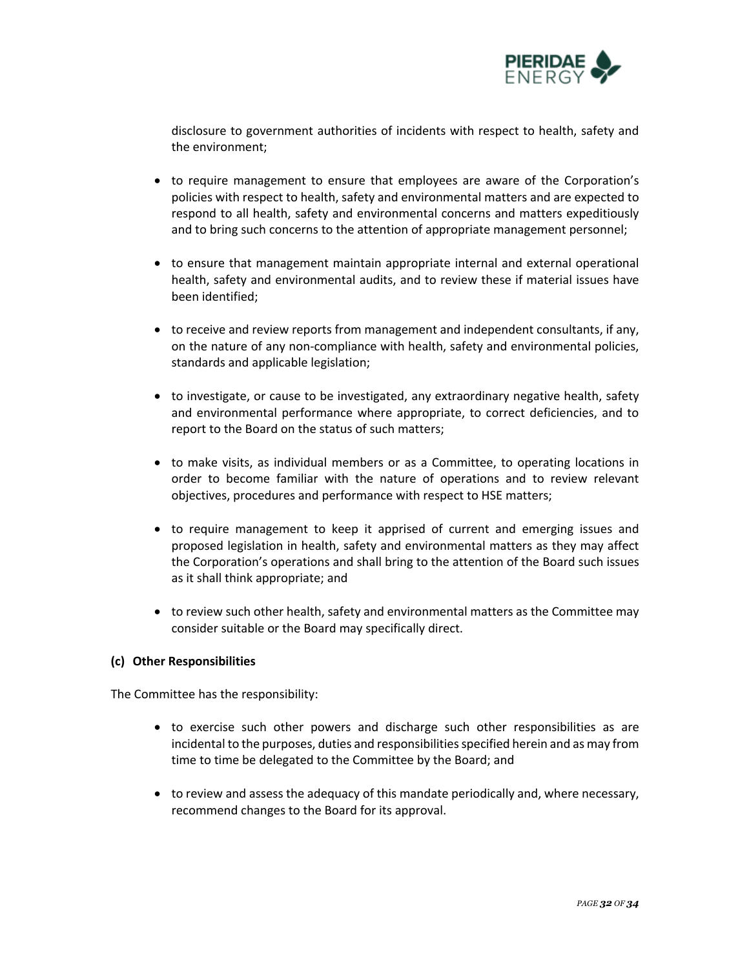

disclosure to government authorities of incidents with respect to health, safety and the environment;

- to require management to ensure that employees are aware of the Corporation's policies with respect to health, safety and environmental matters and are expected to respond to all health, safety and environmental concerns and matters expeditiously and to bring such concerns to the attention of appropriate management personnel;
- to ensure that management maintain appropriate internal and external operational health, safety and environmental audits, and to review these if material issues have been identified;
- to receive and review reports from management and independent consultants, if any, on the nature of any non-compliance with health, safety and environmental policies, standards and applicable legislation;
- to investigate, or cause to be investigated, any extraordinary negative health, safety and environmental performance where appropriate, to correct deficiencies, and to report to the Board on the status of such matters;
- to make visits, as individual members or as a Committee, to operating locations in order to become familiar with the nature of operations and to review relevant objectives, procedures and performance with respect to HSE matters;
- to require management to keep it apprised of current and emerging issues and proposed legislation in health, safety and environmental matters as they may affect the Corporation's operations and shall bring to the attention of the Board such issues as it shall think appropriate; and
- to review such other health, safety and environmental matters as the Committee may consider suitable or the Board may specifically direct.

# **(c) Other Responsibilities**

- to exercise such other powers and discharge such other responsibilities as are incidental to the purposes, duties and responsibilities specified herein and as may from time to time be delegated to the Committee by the Board; and
- to review and assess the adequacy of this mandate periodically and, where necessary, recommend changes to the Board for its approval.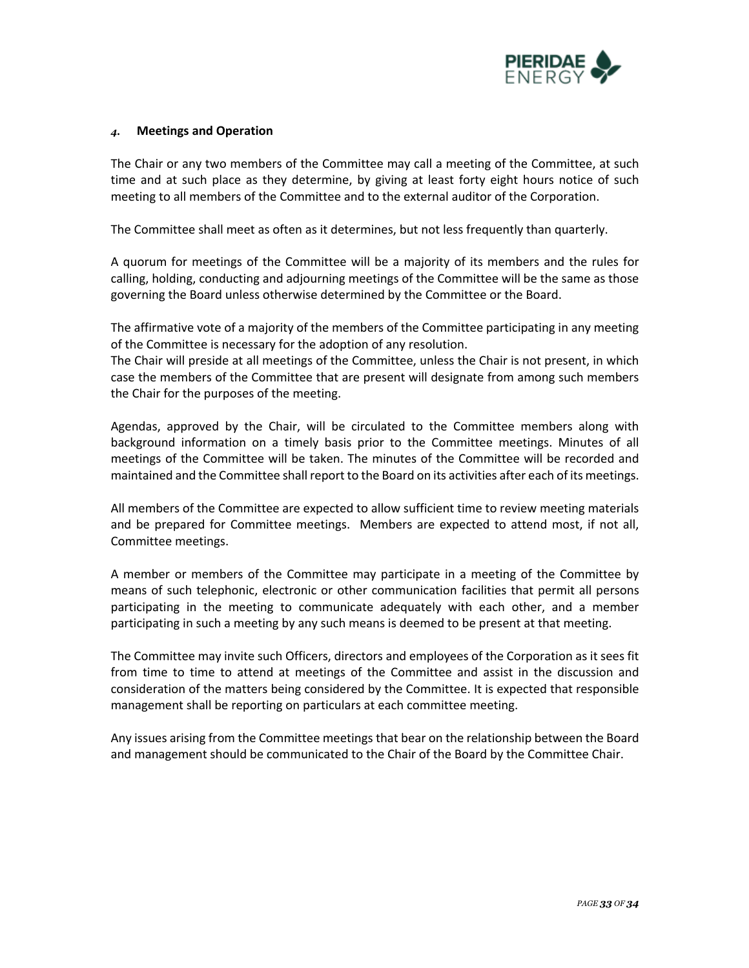

# *4.* **Meetings and Operation**

The Chair or any two members of the Committee may call a meeting of the Committee, at such time and at such place as they determine, by giving at least forty eight hours notice of such meeting to all members of the Committee and to the external auditor of the Corporation.

The Committee shall meet as often as it determines, but not less frequently than quarterly.

A quorum for meetings of the Committee will be a majority of its members and the rules for calling, holding, conducting and adjourning meetings of the Committee will be the same as those governing the Board unless otherwise determined by the Committee or the Board.

The affirmative vote of a majority of the members of the Committee participating in any meeting of the Committee is necessary for the adoption of any resolution.

The Chair will preside at all meetings of the Committee, unless the Chair is not present, in which case the members of the Committee that are present will designate from among such members the Chair for the purposes of the meeting.

Agendas, approved by the Chair, will be circulated to the Committee members along with background information on a timely basis prior to the Committee meetings. Minutes of all meetings of the Committee will be taken. The minutes of the Committee will be recorded and maintained and the Committee shall report to the Board on its activities after each of its meetings.

All members of the Committee are expected to allow sufficient time to review meeting materials and be prepared for Committee meetings. Members are expected to attend most, if not all, Committee meetings.

A member or members of the Committee may participate in a meeting of the Committee by means of such telephonic, electronic or other communication facilities that permit all persons participating in the meeting to communicate adequately with each other, and a member participating in such a meeting by any such means is deemed to be present at that meeting.

The Committee may invite such Officers, directors and employees of the Corporation as it sees fit from time to time to attend at meetings of the Committee and assist in the discussion and consideration of the matters being considered by the Committee. It is expected that responsible management shall be reporting on particulars at each committee meeting.

Any issues arising from the Committee meetings that bear on the relationship between the Board and management should be communicated to the Chair of the Board by the Committee Chair.